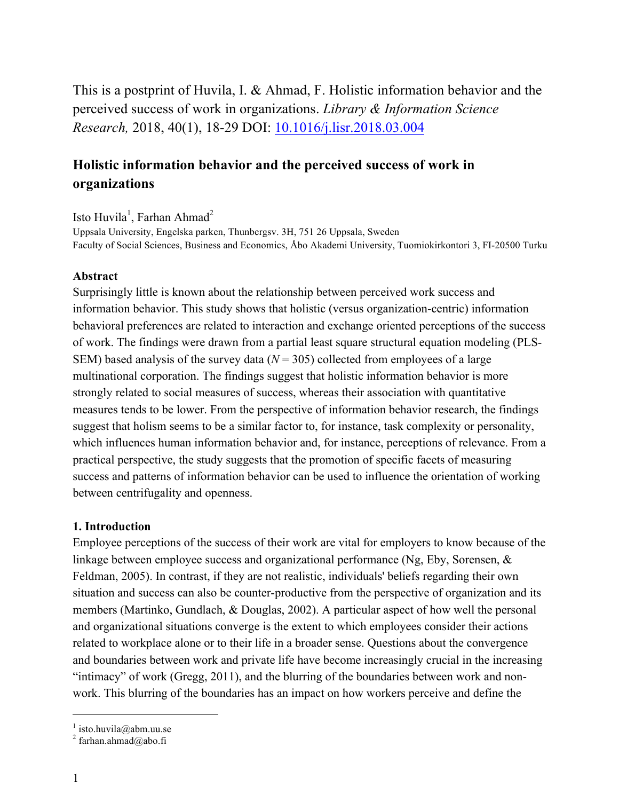This is a postprint of Huvila, I. & Ahmad, F. Holistic information behavior and the perceived success of work in organizations. *Library & Information Science Research,* 2018, 40(1), 18-29 DOI: 10.1016/j.lisr.2018.03.004

# **Holistic information behavior and the perceived success of work in organizations**

Isto Huvila<sup>1</sup>, Farhan Ahmad<sup>2</sup>

Uppsala University, Engelska parken, Thunbergsv. 3H, 751 26 Uppsala, Sweden Faculty of Social Sciences, Business and Economics, Åbo Akademi University, Tuomiokirkontori 3, FI-20500 Turku

### **Abstract**

Surprisingly little is known about the relationship between perceived work success and information behavior. This study shows that holistic (versus organization-centric) information behavioral preferences are related to interaction and exchange oriented perceptions of the success of work. The findings were drawn from a partial least square structural equation modeling (PLS-SEM) based analysis of the survey data  $(N = 305)$  collected from employees of a large multinational corporation. The findings suggest that holistic information behavior is more strongly related to social measures of success, whereas their association with quantitative measures tends to be lower. From the perspective of information behavior research, the findings suggest that holism seems to be a similar factor to, for instance, task complexity or personality, which influences human information behavior and, for instance, perceptions of relevance. From a practical perspective, the study suggests that the promotion of specific facets of measuring success and patterns of information behavior can be used to influence the orientation of working between centrifugality and openness.

#### **1. Introduction**

Employee perceptions of the success of their work are vital for employers to know because of the linkage between employee success and organizational performance (Ng, Eby, Sorensen,  $\&$ Feldman, 2005). In contrast, if they are not realistic, individuals' beliefs regarding their own situation and success can also be counter-productive from the perspective of organization and its members (Martinko, Gundlach, & Douglas, 2002). A particular aspect of how well the personal and organizational situations converge is the extent to which employees consider their actions related to workplace alone or to their life in a broader sense. Questions about the convergence and boundaries between work and private life have become increasingly crucial in the increasing "intimacy" of work (Gregg, 2011), and the blurring of the boundaries between work and nonwork. This blurring of the boundaries has an impact on how workers perceive and define the

<sup>&</sup>lt;sup>1</sup> isto.huvila@abm.uu.se

 $^{2}$  farhan.ahmad@abo.fi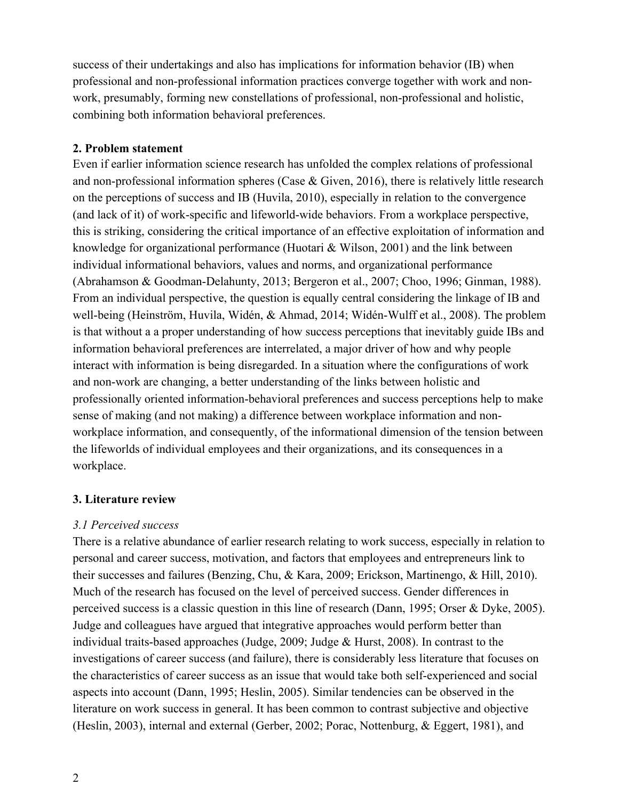success of their undertakings and also has implications for information behavior (IB) when professional and non-professional information practices converge together with work and nonwork, presumably, forming new constellations of professional, non-professional and holistic, combining both information behavioral preferences.

### **2. Problem statement**

Even if earlier information science research has unfolded the complex relations of professional and non-professional information spheres (Case  $\&$  Given, 2016), there is relatively little research on the perceptions of success and IB (Huvila, 2010), especially in relation to the convergence (and lack of it) of work-specific and lifeworld-wide behaviors. From a workplace perspective, this is striking, considering the critical importance of an effective exploitation of information and knowledge for organizational performance (Huotari & Wilson, 2001) and the link between individual informational behaviors, values and norms, and organizational performance (Abrahamson & Goodman-Delahunty, 2013; Bergeron et al., 2007; Choo, 1996; Ginman, 1988). From an individual perspective, the question is equally central considering the linkage of IB and well-being (Heinström, Huvila, Widén, & Ahmad, 2014; Widén-Wulff et al., 2008). The problem is that without a a proper understanding of how success perceptions that inevitably guide IBs and information behavioral preferences are interrelated, a major driver of how and why people interact with information is being disregarded. In a situation where the configurations of work and non-work are changing, a better understanding of the links between holistic and professionally oriented information-behavioral preferences and success perceptions help to make sense of making (and not making) a difference between workplace information and nonworkplace information, and consequently, of the informational dimension of the tension between the lifeworlds of individual employees and their organizations, and its consequences in a workplace.

#### **3. Literature review**

#### *3.1 Perceived success*

There is a relative abundance of earlier research relating to work success, especially in relation to personal and career success, motivation, and factors that employees and entrepreneurs link to their successes and failures (Benzing, Chu, & Kara, 2009; Erickson, Martinengo, & Hill, 2010). Much of the research has focused on the level of perceived success. Gender differences in perceived success is a classic question in this line of research (Dann, 1995; Orser & Dyke, 2005). Judge and colleagues have argued that integrative approaches would perform better than individual traits-based approaches (Judge, 2009; Judge & Hurst, 2008). In contrast to the investigations of career success (and failure), there is considerably less literature that focuses on the characteristics of career success as an issue that would take both self-experienced and social aspects into account (Dann, 1995; Heslin, 2005). Similar tendencies can be observed in the literature on work success in general. It has been common to contrast subjective and objective (Heslin, 2003), internal and external (Gerber, 2002; Porac, Nottenburg, & Eggert, 1981), and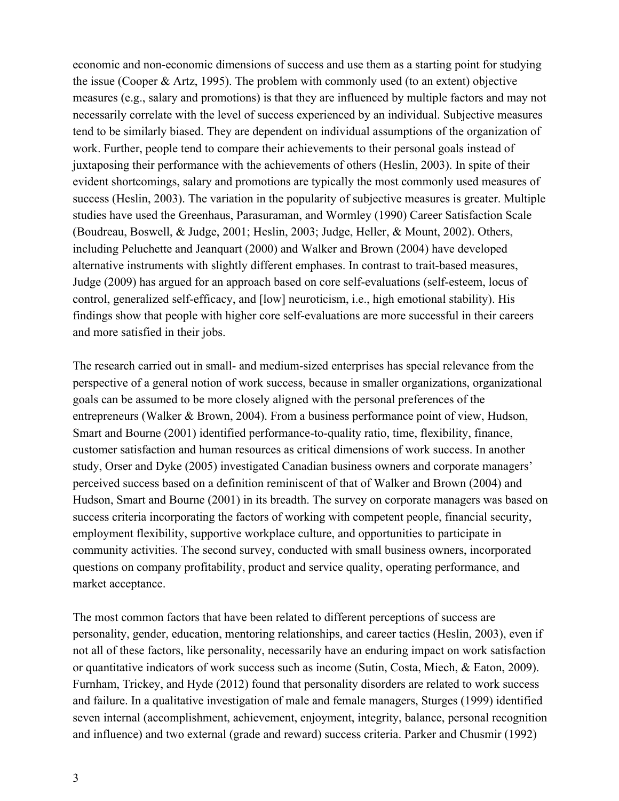economic and non-economic dimensions of success and use them as a starting point for studying the issue (Cooper & Artz, 1995). The problem with commonly used (to an extent) objective measures (e.g., salary and promotions) is that they are influenced by multiple factors and may not necessarily correlate with the level of success experienced by an individual. Subjective measures tend to be similarly biased. They are dependent on individual assumptions of the organization of work. Further, people tend to compare their achievements to their personal goals instead of juxtaposing their performance with the achievements of others (Heslin, 2003). In spite of their evident shortcomings, salary and promotions are typically the most commonly used measures of success (Heslin, 2003). The variation in the popularity of subjective measures is greater. Multiple studies have used the Greenhaus, Parasuraman, and Wormley (1990) Career Satisfaction Scale (Boudreau, Boswell, & Judge, 2001; Heslin, 2003; Judge, Heller, & Mount, 2002). Others, including Peluchette and Jeanquart (2000) and Walker and Brown (2004) have developed alternative instruments with slightly different emphases. In contrast to trait-based measures, Judge (2009) has argued for an approach based on core self-evaluations (self-esteem, locus of control, generalized self-efficacy, and [low] neuroticism, i.e., high emotional stability). His findings show that people with higher core self-evaluations are more successful in their careers and more satisfied in their jobs.

The research carried out in small- and medium-sized enterprises has special relevance from the perspective of a general notion of work success, because in smaller organizations, organizational goals can be assumed to be more closely aligned with the personal preferences of the entrepreneurs (Walker & Brown, 2004). From a business performance point of view, Hudson, Smart and Bourne (2001) identified performance-to-quality ratio, time, flexibility, finance, customer satisfaction and human resources as critical dimensions of work success. In another study, Orser and Dyke (2005) investigated Canadian business owners and corporate managers' perceived success based on a definition reminiscent of that of Walker and Brown (2004) and Hudson, Smart and Bourne (2001) in its breadth. The survey on corporate managers was based on success criteria incorporating the factors of working with competent people, financial security, employment flexibility, supportive workplace culture, and opportunities to participate in community activities. The second survey, conducted with small business owners, incorporated questions on company profitability, product and service quality, operating performance, and market acceptance.

The most common factors that have been related to different perceptions of success are personality, gender, education, mentoring relationships, and career tactics (Heslin, 2003), even if not all of these factors, like personality, necessarily have an enduring impact on work satisfaction or quantitative indicators of work success such as income (Sutin, Costa, Miech, & Eaton, 2009). Furnham, Trickey, and Hyde (2012) found that personality disorders are related to work success and failure. In a qualitative investigation of male and female managers, Sturges (1999) identified seven internal (accomplishment, achievement, enjoyment, integrity, balance, personal recognition and influence) and two external (grade and reward) success criteria. Parker and Chusmir (1992)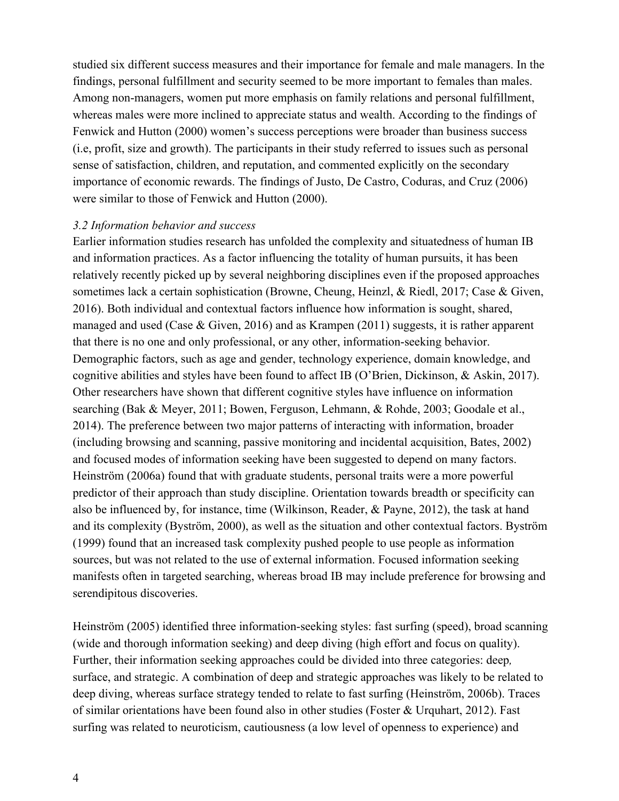studied six different success measures and their importance for female and male managers. In the findings, personal fulfillment and security seemed to be more important to females than males. Among non-managers, women put more emphasis on family relations and personal fulfillment, whereas males were more inclined to appreciate status and wealth. According to the findings of Fenwick and Hutton (2000) women's success perceptions were broader than business success (i.e, profit, size and growth). The participants in their study referred to issues such as personal sense of satisfaction, children, and reputation, and commented explicitly on the secondary importance of economic rewards. The findings of Justo, De Castro, Coduras, and Cruz (2006) were similar to those of Fenwick and Hutton (2000).

#### *3.2 Information behavior and success*

Earlier information studies research has unfolded the complexity and situatedness of human IB and information practices. As a factor influencing the totality of human pursuits, it has been relatively recently picked up by several neighboring disciplines even if the proposed approaches sometimes lack a certain sophistication (Browne, Cheung, Heinzl, & Riedl, 2017; Case & Given, 2016). Both individual and contextual factors influence how information is sought, shared, managed and used (Case & Given, 2016) and as Krampen (2011) suggests, it is rather apparent that there is no one and only professional, or any other, information-seeking behavior. Demographic factors, such as age and gender, technology experience, domain knowledge, and cognitive abilities and styles have been found to affect IB (O'Brien, Dickinson, & Askin, 2017). Other researchers have shown that different cognitive styles have influence on information searching (Bak & Meyer, 2011; Bowen, Ferguson, Lehmann, & Rohde, 2003; Goodale et al., 2014). The preference between two major patterns of interacting with information, broader (including browsing and scanning, passive monitoring and incidental acquisition, Bates, 2002) and focused modes of information seeking have been suggested to depend on many factors. Heinström (2006a) found that with graduate students, personal traits were a more powerful predictor of their approach than study discipline. Orientation towards breadth or specificity can also be influenced by, for instance, time (Wilkinson, Reader, & Payne, 2012), the task at hand and its complexity (Byström, 2000), as well as the situation and other contextual factors. Byström (1999) found that an increased task complexity pushed people to use people as information sources, but was not related to the use of external information. Focused information seeking manifests often in targeted searching, whereas broad IB may include preference for browsing and serendipitous discoveries.

Heinström (2005) identified three information-seeking styles: fast surfing (speed), broad scanning (wide and thorough information seeking) and deep diving (high effort and focus on quality). Further, their information seeking approaches could be divided into three categories: deep*,*  surface, and strategic. A combination of deep and strategic approaches was likely to be related to deep diving, whereas surface strategy tended to relate to fast surfing (Heinström, 2006b). Traces of similar orientations have been found also in other studies (Foster & Urquhart, 2012). Fast surfing was related to neuroticism, cautiousness (a low level of openness to experience) and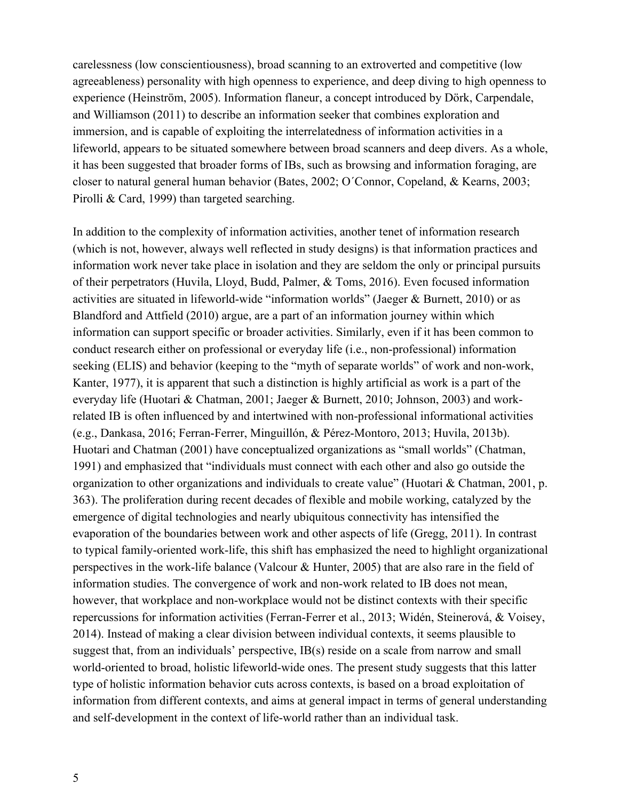carelessness (low conscientiousness), broad scanning to an extroverted and competitive (low agreeableness) personality with high openness to experience, and deep diving to high openness to experience (Heinström, 2005). Information flaneur, a concept introduced by Dörk, Carpendale, and Williamson (2011) to describe an information seeker that combines exploration and immersion, and is capable of exploiting the interrelatedness of information activities in a lifeworld, appears to be situated somewhere between broad scanners and deep divers. As a whole, it has been suggested that broader forms of IBs, such as browsing and information foraging, are closer to natural general human behavior (Bates, 2002; O´Connor, Copeland, & Kearns, 2003; Pirolli & Card, 1999) than targeted searching.

In addition to the complexity of information activities, another tenet of information research (which is not, however, always well reflected in study designs) is that information practices and information work never take place in isolation and they are seldom the only or principal pursuits of their perpetrators (Huvila, Lloyd, Budd, Palmer, & Toms, 2016). Even focused information activities are situated in lifeworld-wide "information worlds" (Jaeger & Burnett, 2010) or as Blandford and Attfield (2010) argue, are a part of an information journey within which information can support specific or broader activities. Similarly, even if it has been common to conduct research either on professional or everyday life (i.e., non-professional) information seeking (ELIS) and behavior (keeping to the "myth of separate worlds" of work and non-work, Kanter, 1977), it is apparent that such a distinction is highly artificial as work is a part of the everyday life (Huotari & Chatman, 2001; Jaeger & Burnett, 2010; Johnson, 2003) and workrelated IB is often influenced by and intertwined with non-professional informational activities (e.g., Dankasa, 2016; Ferran-Ferrer, Minguillón, & Pérez-Montoro, 2013; Huvila, 2013b). Huotari and Chatman (2001) have conceptualized organizations as "small worlds" (Chatman, 1991) and emphasized that "individuals must connect with each other and also go outside the organization to other organizations and individuals to create value" (Huotari & Chatman, 2001, p. 363). The proliferation during recent decades of flexible and mobile working, catalyzed by the emergence of digital technologies and nearly ubiquitous connectivity has intensified the evaporation of the boundaries between work and other aspects of life (Gregg, 2011). In contrast to typical family-oriented work-life, this shift has emphasized the need to highlight organizational perspectives in the work-life balance (Valcour & Hunter, 2005) that are also rare in the field of information studies. The convergence of work and non-work related to IB does not mean, however, that workplace and non-workplace would not be distinct contexts with their specific repercussions for information activities (Ferran-Ferrer et al., 2013; Widén, Steinerová, & Voisey, 2014). Instead of making a clear division between individual contexts, it seems plausible to suggest that, from an individuals' perspective, IB(s) reside on a scale from narrow and small world-oriented to broad, holistic lifeworld-wide ones. The present study suggests that this latter type of holistic information behavior cuts across contexts, is based on a broad exploitation of information from different contexts, and aims at general impact in terms of general understanding and self-development in the context of life-world rather than an individual task.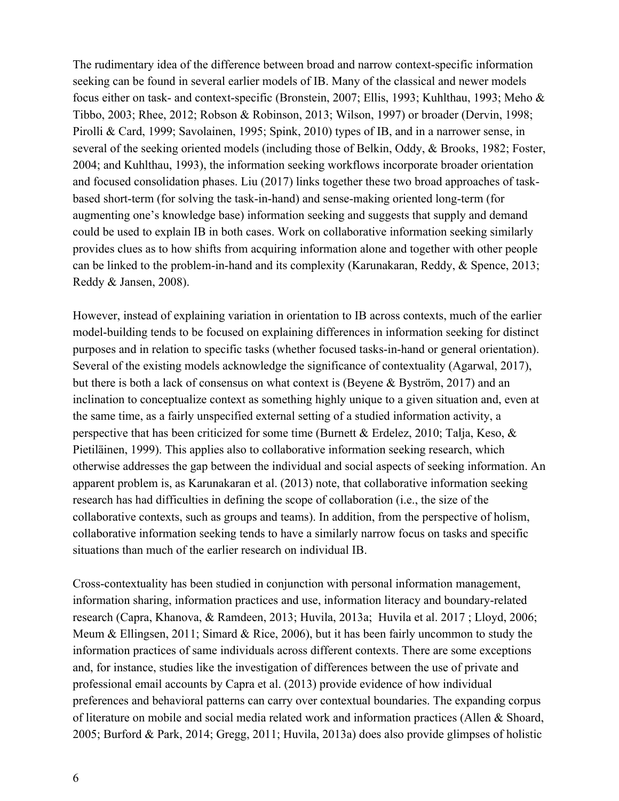The rudimentary idea of the difference between broad and narrow context-specific information seeking can be found in several earlier models of IB. Many of the classical and newer models focus either on task- and context-specific (Bronstein, 2007; Ellis, 1993; Kuhlthau, 1993; Meho & Tibbo, 2003; Rhee, 2012; Robson & Robinson, 2013; Wilson, 1997) or broader (Dervin, 1998; Pirolli & Card, 1999; Savolainen, 1995; Spink, 2010) types of IB, and in a narrower sense, in several of the seeking oriented models (including those of Belkin, Oddy, & Brooks, 1982; Foster, 2004; and Kuhlthau, 1993), the information seeking workflows incorporate broader orientation and focused consolidation phases. Liu (2017) links together these two broad approaches of taskbased short-term (for solving the task-in-hand) and sense-making oriented long-term (for augmenting one's knowledge base) information seeking and suggests that supply and demand could be used to explain IB in both cases. Work on collaborative information seeking similarly provides clues as to how shifts from acquiring information alone and together with other people can be linked to the problem-in-hand and its complexity (Karunakaran, Reddy, & Spence, 2013; Reddy & Jansen, 2008).

However, instead of explaining variation in orientation to IB across contexts, much of the earlier model-building tends to be focused on explaining differences in information seeking for distinct purposes and in relation to specific tasks (whether focused tasks-in-hand or general orientation). Several of the existing models acknowledge the significance of contextuality (Agarwal, 2017), but there is both a lack of consensus on what context is (Beyene & Byström, 2017) and an inclination to conceptualize context as something highly unique to a given situation and, even at the same time, as a fairly unspecified external setting of a studied information activity, a perspective that has been criticized for some time (Burnett & Erdelez, 2010; Talja, Keso,  $\&$ Pietiläinen, 1999). This applies also to collaborative information seeking research, which otherwise addresses the gap between the individual and social aspects of seeking information. An apparent problem is, as Karunakaran et al. (2013) note, that collaborative information seeking research has had difficulties in defining the scope of collaboration (i.e., the size of the collaborative contexts, such as groups and teams). In addition, from the perspective of holism, collaborative information seeking tends to have a similarly narrow focus on tasks and specific situations than much of the earlier research on individual IB.

Cross-contextuality has been studied in conjunction with personal information management, information sharing, information practices and use, information literacy and boundary-related research (Capra, Khanova, & Ramdeen, 2013; Huvila, 2013a; Huvila et al. 2017 ; Lloyd, 2006; Meum & Ellingsen, 2011; Simard & Rice, 2006), but it has been fairly uncommon to study the information practices of same individuals across different contexts. There are some exceptions and, for instance, studies like the investigation of differences between the use of private and professional email accounts by Capra et al. (2013) provide evidence of how individual preferences and behavioral patterns can carry over contextual boundaries. The expanding corpus of literature on mobile and social media related work and information practices (Allen & Shoard, 2005; Burford & Park, 2014; Gregg, 2011; Huvila, 2013a) does also provide glimpses of holistic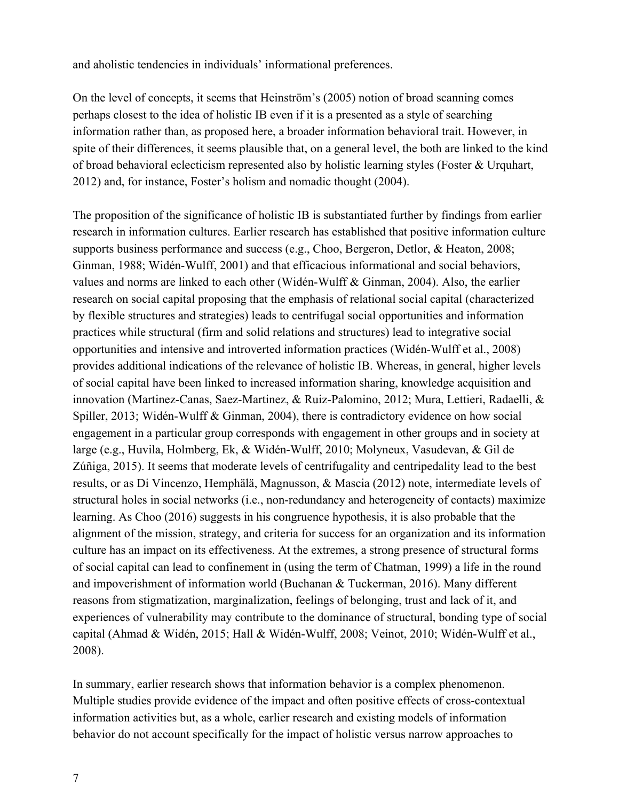and aholistic tendencies in individuals' informational preferences.

On the level of concepts, it seems that Heinström's (2005) notion of broad scanning comes perhaps closest to the idea of holistic IB even if it is a presented as a style of searching information rather than, as proposed here, a broader information behavioral trait. However, in spite of their differences, it seems plausible that, on a general level, the both are linked to the kind of broad behavioral eclecticism represented also by holistic learning styles (Foster & Urquhart, 2012) and, for instance, Foster's holism and nomadic thought (2004).

The proposition of the significance of holistic IB is substantiated further by findings from earlier research in information cultures. Earlier research has established that positive information culture supports business performance and success (e.g., Choo, Bergeron, Detlor, & Heaton, 2008; Ginman, 1988; Widén-Wulff, 2001) and that efficacious informational and social behaviors, values and norms are linked to each other (Widén-Wulff & Ginman, 2004). Also, the earlier research on social capital proposing that the emphasis of relational social capital (characterized by flexible structures and strategies) leads to centrifugal social opportunities and information practices while structural (firm and solid relations and structures) lead to integrative social opportunities and intensive and introverted information practices (Widén-Wulff et al., 2008) provides additional indications of the relevance of holistic IB. Whereas, in general, higher levels of social capital have been linked to increased information sharing, knowledge acquisition and innovation (Martinez-Canas, Saez-Martinez, & Ruiz-Palomino, 2012; Mura, Lettieri, Radaelli, & Spiller, 2013; Widén-Wulff & Ginman, 2004), there is contradictory evidence on how social engagement in a particular group corresponds with engagement in other groups and in society at large (e.g., Huvila, Holmberg, Ek, & Widén-Wulff, 2010; Molyneux, Vasudevan, & Gil de Zúñiga, 2015). It seems that moderate levels of centrifugality and centripedality lead to the best results, or as Di Vincenzo, Hemphälä, Magnusson, & Mascia (2012) note, intermediate levels of structural holes in social networks (i.e., non-redundancy and heterogeneity of contacts) maximize learning. As Choo (2016) suggests in his congruence hypothesis, it is also probable that the alignment of the mission, strategy, and criteria for success for an organization and its information culture has an impact on its effectiveness. At the extremes, a strong presence of structural forms of social capital can lead to confinement in (using the term of Chatman, 1999) a life in the round and impoverishment of information world (Buchanan & Tuckerman, 2016). Many different reasons from stigmatization, marginalization, feelings of belonging, trust and lack of it, and experiences of vulnerability may contribute to the dominance of structural, bonding type of social capital (Ahmad & Widén, 2015; Hall & Widén-Wulff, 2008; Veinot, 2010; Widén-Wulff et al., 2008).

In summary, earlier research shows that information behavior is a complex phenomenon. Multiple studies provide evidence of the impact and often positive effects of cross-contextual information activities but, as a whole, earlier research and existing models of information behavior do not account specifically for the impact of holistic versus narrow approaches to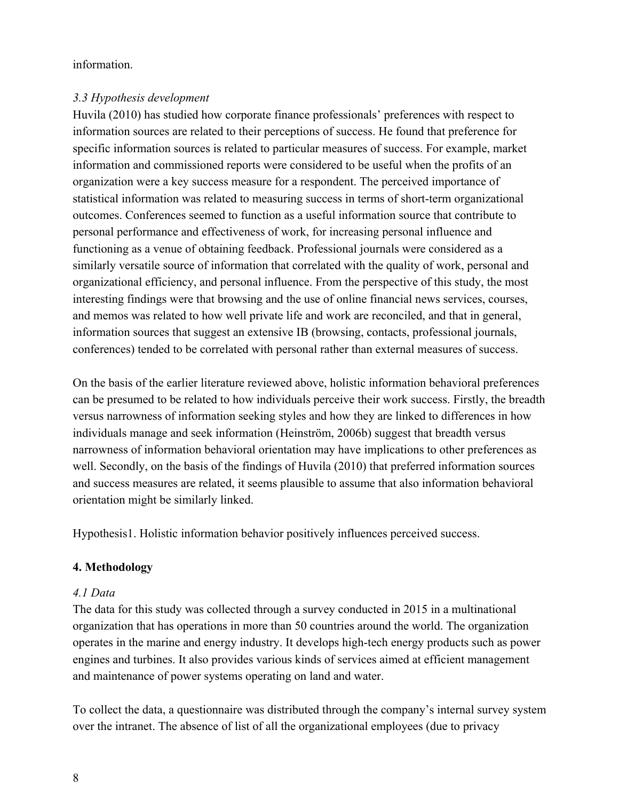information.

# *3.3 Hypothesis development*

Huvila (2010) has studied how corporate finance professionals' preferences with respect to information sources are related to their perceptions of success. He found that preference for specific information sources is related to particular measures of success. For example, market information and commissioned reports were considered to be useful when the profits of an organization were a key success measure for a respondent. The perceived importance of statistical information was related to measuring success in terms of short-term organizational outcomes. Conferences seemed to function as a useful information source that contribute to personal performance and effectiveness of work, for increasing personal influence and functioning as a venue of obtaining feedback. Professional journals were considered as a similarly versatile source of information that correlated with the quality of work, personal and organizational efficiency, and personal influence. From the perspective of this study, the most interesting findings were that browsing and the use of online financial news services, courses, and memos was related to how well private life and work are reconciled, and that in general, information sources that suggest an extensive IB (browsing, contacts, professional journals, conferences) tended to be correlated with personal rather than external measures of success.

On the basis of the earlier literature reviewed above, holistic information behavioral preferences can be presumed to be related to how individuals perceive their work success. Firstly, the breadth versus narrowness of information seeking styles and how they are linked to differences in how individuals manage and seek information (Heinström, 2006b) suggest that breadth versus narrowness of information behavioral orientation may have implications to other preferences as well. Secondly, on the basis of the findings of Huvila (2010) that preferred information sources and success measures are related, it seems plausible to assume that also information behavioral orientation might be similarly linked.

Hypothesis1. Holistic information behavior positively influences perceived success.

# **4. Methodology**

### *4.1 Data*

The data for this study was collected through a survey conducted in 2015 in a multinational organization that has operations in more than 50 countries around the world. The organization operates in the marine and energy industry. It develops high-tech energy products such as power engines and turbines. It also provides various kinds of services aimed at efficient management and maintenance of power systems operating on land and water.

To collect the data, a questionnaire was distributed through the company's internal survey system over the intranet. The absence of list of all the organizational employees (due to privacy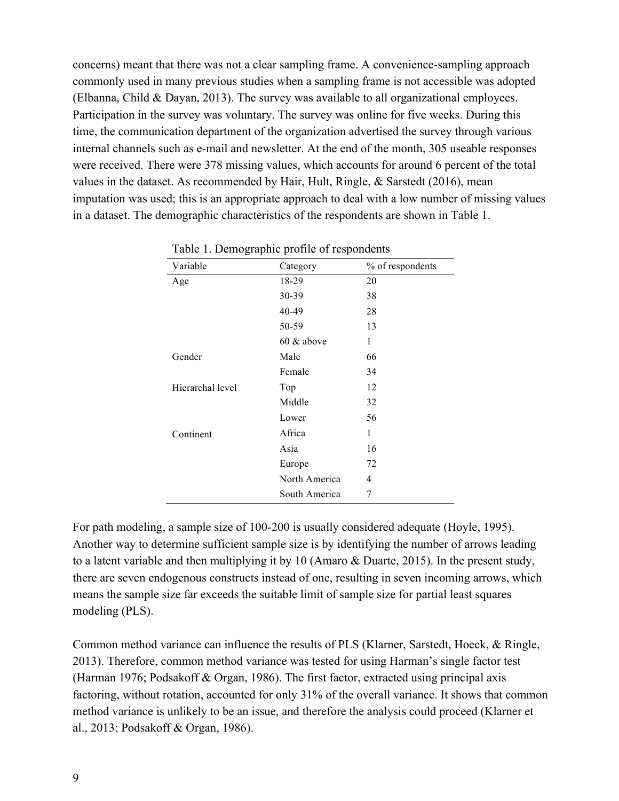concerns) meant that there was not a clear sampling frame. A convenience-sampling approach commonly used in many previous studies when a sampling frame is not accessible was adopted (Elbanna, Child & Dayan, 2013). The survey was available to all organizational employees. Participation in the survey was voluntary. The survey was online for five weeks. During this time, the communication department of the organization advertised the survey through various internal channels such as e-mail and newsletter. At the end of the month, 305 useable responses were received. There were 378 missing values, which accounts for around 6 percent of the total values in the dataset. As recommended by Hair, Hult, Ringle, & Sarstedt (2016), mean imputation was used; this is an appropriate approach to deal with a low number of missing values in a dataset. The demographic characteristics of the respondents are shown in Table 1.

| Variable         | Category      | % of respondents |
|------------------|---------------|------------------|
| Age              | 18-29         | 20               |
|                  | 30-39         | 38               |
|                  | 40-49         | 28               |
|                  | 50-59         | 13               |
|                  | $60 \&$ above | 1                |
| Gender           | Male          | 66               |
|                  | Female        | 34               |
| Hierarchal level | Top           | 12               |
|                  | Middle        | 32               |
|                  | Lower         | 56               |
| Continent        | Africa        | 1                |
|                  | Asia          | 16               |
|                  | Europe        | 72               |
|                  | North America | 4                |
|                  | South America | 7                |
|                  |               |                  |

Table 1. Demographic profile of respondents

For path modeling, a sample size of 100-200 is usually considered adequate (Hoyle, 1995). Another way to determine sufficient sample size is by identifying the number of arrows leading to a latent variable and then multiplying it by 10 (Amaro & Duarte, 2015). In the present study, there are seven endogenous constructs instead of one, resulting in seven incoming arrows, which means the sample size far exceeds the suitable limit of sample size for partial least squares modeling (PLS).

Common method variance can influence the results of PLS (Klarner, Sarstedt, Hoeck, & Ringle, 2013). Therefore, common method variance was tested for using Harman's single factor test (Harman 1976; Podsakoff & Organ, 1986). The first factor, extracted using principal axis factoring, without rotation, accounted for only 31% of the overall variance. It shows that common method variance is unlikely to be an issue, and therefore the analysis could proceed (Klarner et al., 2013; Podsakoff & Organ, 1986).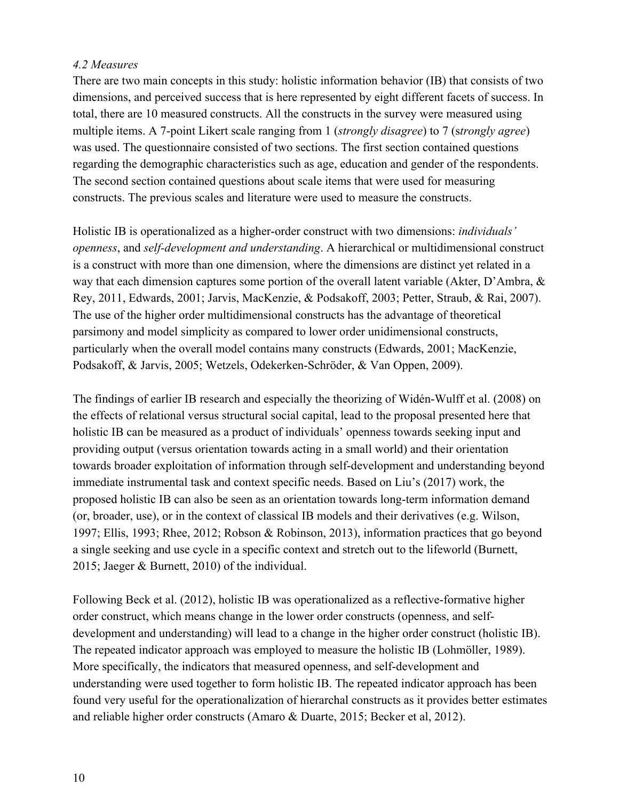### *4.2 Measures*

There are two main concepts in this study: holistic information behavior (IB) that consists of two dimensions, and perceived success that is here represented by eight different facets of success. In total, there are 10 measured constructs. All the constructs in the survey were measured using multiple items. A 7-point Likert scale ranging from 1 (*strongly disagree*) to 7 (s*trongly agree*) was used. The questionnaire consisted of two sections. The first section contained questions regarding the demographic characteristics such as age, education and gender of the respondents. The second section contained questions about scale items that were used for measuring constructs. The previous scales and literature were used to measure the constructs.

Holistic IB is operationalized as a higher-order construct with two dimensions: *individuals' openness*, and *self-development and understanding*. A hierarchical or multidimensional construct is a construct with more than one dimension, where the dimensions are distinct yet related in a way that each dimension captures some portion of the overall latent variable (Akter, D'Ambra, & Rey, 2011, Edwards, 2001; Jarvis, MacKenzie, & Podsakoff, 2003; Petter, Straub, & Rai, 2007). The use of the higher order multidimensional constructs has the advantage of theoretical parsimony and model simplicity as compared to lower order unidimensional constructs, particularly when the overall model contains many constructs (Edwards, 2001; MacKenzie, Podsakoff, & Jarvis, 2005; Wetzels, Odekerken-Schröder, & Van Oppen, 2009).

The findings of earlier IB research and especially the theorizing of Widén-Wulff et al. (2008) on the effects of relational versus structural social capital, lead to the proposal presented here that holistic IB can be measured as a product of individuals' openness towards seeking input and providing output (versus orientation towards acting in a small world) and their orientation towards broader exploitation of information through self-development and understanding beyond immediate instrumental task and context specific needs. Based on Liu's (2017) work, the proposed holistic IB can also be seen as an orientation towards long-term information demand (or, broader, use), or in the context of classical IB models and their derivatives (e.g. Wilson, 1997; Ellis, 1993; Rhee, 2012; Robson & Robinson, 2013), information practices that go beyond a single seeking and use cycle in a specific context and stretch out to the lifeworld (Burnett, 2015; Jaeger & Burnett, 2010) of the individual.

Following Beck et al. (2012), holistic IB was operationalized as a reflective-formative higher order construct, which means change in the lower order constructs (openness, and selfdevelopment and understanding) will lead to a change in the higher order construct (holistic IB). The repeated indicator approach was employed to measure the holistic IB (Lohmöller, 1989). More specifically, the indicators that measured openness, and self-development and understanding were used together to form holistic IB. The repeated indicator approach has been found very useful for the operationalization of hierarchal constructs as it provides better estimates and reliable higher order constructs (Amaro & Duarte, 2015; Becker et al, 2012).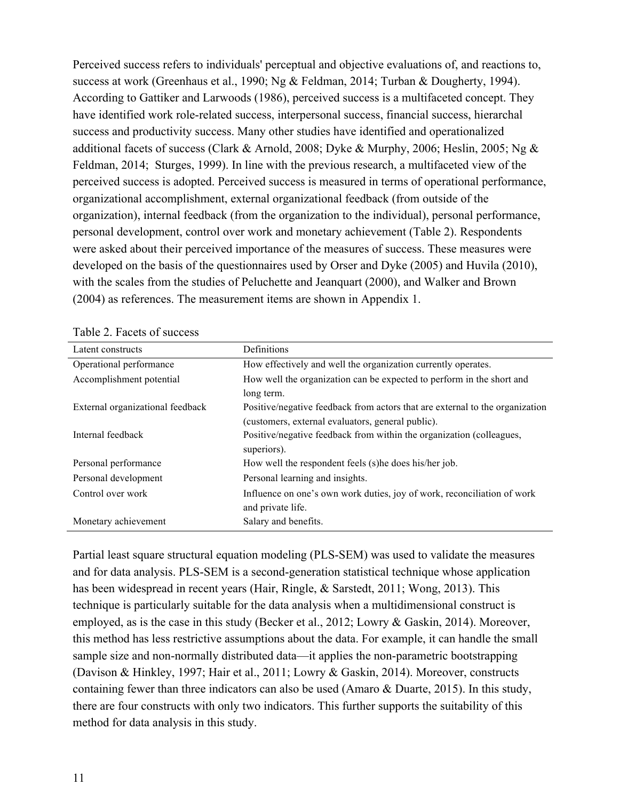Perceived success refers to individuals' perceptual and objective evaluations of, and reactions to, success at work (Greenhaus et al., 1990; Ng & Feldman, 2014; Turban & Dougherty, 1994). According to Gattiker and Larwoods (1986), perceived success is a multifaceted concept. They have identified work role-related success, interpersonal success, financial success, hierarchal success and productivity success. Many other studies have identified and operationalized additional facets of success (Clark & Arnold, 2008; Dyke & Murphy, 2006; Heslin, 2005; Ng & Feldman, 2014; Sturges, 1999). In line with the previous research, a multifaceted view of the perceived success is adopted. Perceived success is measured in terms of operational performance, organizational accomplishment, external organizational feedback (from outside of the organization), internal feedback (from the organization to the individual), personal performance, personal development, control over work and monetary achievement (Table 2). Respondents were asked about their perceived importance of the measures of success. These measures were developed on the basis of the questionnaires used by Orser and Dyke (2005) and Huvila (2010), with the scales from the studies of Peluchette and Jeanquart (2000), and Walker and Brown (2004) as references. The measurement items are shown in Appendix 1.

| Latent constructs                | Definitions                                                                  |
|----------------------------------|------------------------------------------------------------------------------|
| Operational performance          | How effectively and well the organization currently operates.                |
| Accomplishment potential         | How well the organization can be expected to perform in the short and        |
|                                  | long term.                                                                   |
| External organizational feedback | Positive/negative feedback from actors that are external to the organization |
|                                  | (customers, external evaluators, general public).                            |
| Internal feedback                | Positive/negative feedback from within the organization (colleagues,         |
|                                  | superiors).                                                                  |
| Personal performance             | How well the respondent feels (s) he does his/her job.                       |
| Personal development             | Personal learning and insights.                                              |
| Control over work                | Influence on one's own work duties, joy of work, reconciliation of work      |
|                                  | and private life.                                                            |
| Monetary achievement             | Salary and benefits.                                                         |
|                                  |                                                                              |

Table 2. Facets of success

Partial least square structural equation modeling (PLS-SEM) was used to validate the measures and for data analysis. PLS-SEM is a second-generation statistical technique whose application has been widespread in recent years (Hair, Ringle, & Sarstedt, 2011; Wong, 2013). This technique is particularly suitable for the data analysis when a multidimensional construct is employed, as is the case in this study (Becker et al., 2012; Lowry & Gaskin, 2014). Moreover, this method has less restrictive assumptions about the data. For example, it can handle the small sample size and non-normally distributed data—it applies the non-parametric bootstrapping (Davison & Hinkley, 1997; Hair et al., 2011; Lowry & Gaskin, 2014). Moreover, constructs containing fewer than three indicators can also be used (Amaro & Duarte, 2015). In this study, there are four constructs with only two indicators. This further supports the suitability of this method for data analysis in this study.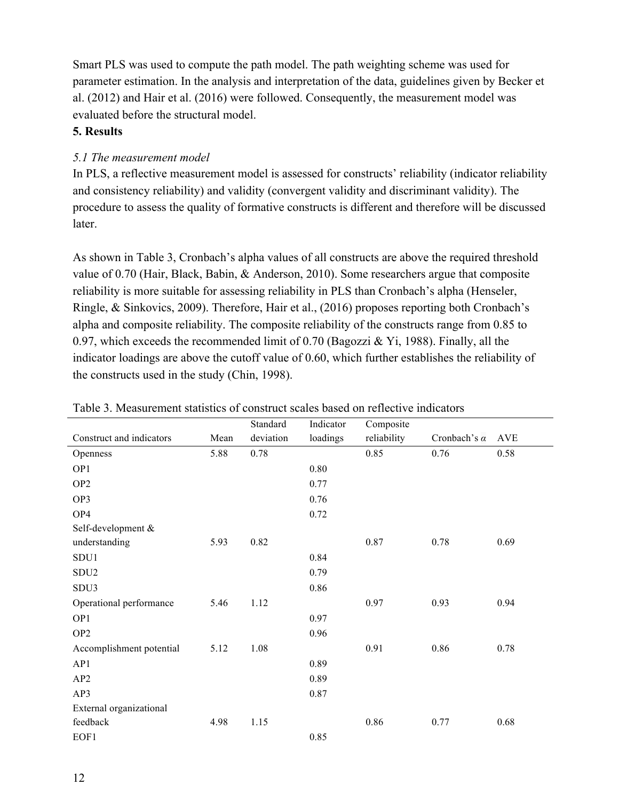Smart PLS was used to compute the path model. The path weighting scheme was used for parameter estimation. In the analysis and interpretation of the data, guidelines given by Becker et al. (2012) and Hair et al. (2016) were followed. Consequently, the measurement model was evaluated before the structural model.

# **5. Results**

# *5.1 The measurement model*

In PLS, a reflective measurement model is assessed for constructs' reliability (indicator reliability and consistency reliability) and validity (convergent validity and discriminant validity). The procedure to assess the quality of formative constructs is different and therefore will be discussed later.

As shown in Table 3, Cronbach's alpha values of all constructs are above the required threshold value of 0.70 (Hair, Black, Babin, & Anderson, 2010). Some researchers argue that composite reliability is more suitable for assessing reliability in PLS than Cronbach's alpha (Henseler, Ringle, & Sinkovics, 2009). Therefore, Hair et al., (2016) proposes reporting both Cronbach's alpha and composite reliability. The composite reliability of the constructs range from 0.85 to 0.97, which exceeds the recommended limit of 0.70 (Bagozzi  $&$  Yi, 1988). Finally, all the indicator loadings are above the cutoff value of 0.60, which further establishes the reliability of the constructs used in the study (Chin, 1998).

|                          |      | Standard  | Indicator | Composite   |                     |      |
|--------------------------|------|-----------|-----------|-------------|---------------------|------|
| Construct and indicators | Mean | deviation | loadings  | reliability | Cronbach's $\alpha$ | AVE  |
| Openness                 | 5.88 | 0.78      |           | 0.85        | 0.76                | 0.58 |
| OP <sub>1</sub>          |      |           | 0.80      |             |                     |      |
| OP <sub>2</sub>          |      |           | 0.77      |             |                     |      |
| OP3                      |      |           | 0.76      |             |                     |      |
| OP4                      |      |           | 0.72      |             |                     |      |
| Self-development &       |      |           |           |             |                     |      |
| understanding            | 5.93 | 0.82      |           | 0.87        | 0.78                | 0.69 |
| SDU1                     |      |           | 0.84      |             |                     |      |
| SDU <sub>2</sub>         |      |           | 0.79      |             |                     |      |
| SDU3                     |      |           | 0.86      |             |                     |      |
| Operational performance  | 5.46 | 1.12      |           | 0.97        | 0.93                | 0.94 |
| OP1                      |      |           | 0.97      |             |                     |      |
| OP <sub>2</sub>          |      |           | 0.96      |             |                     |      |
| Accomplishment potential | 5.12 | 1.08      |           | 0.91        | 0.86                | 0.78 |
| AP1                      |      |           | 0.89      |             |                     |      |
| AP2                      |      |           | 0.89      |             |                     |      |
| AP3                      |      |           | 0.87      |             |                     |      |
| External organizational  |      |           |           |             |                     |      |
| feedback                 | 4.98 | 1.15      |           | 0.86        | 0.77                | 0.68 |
| EOF1                     |      |           | 0.85      |             |                     |      |

Table 3. Measurement statistics of construct scales based on reflective indicators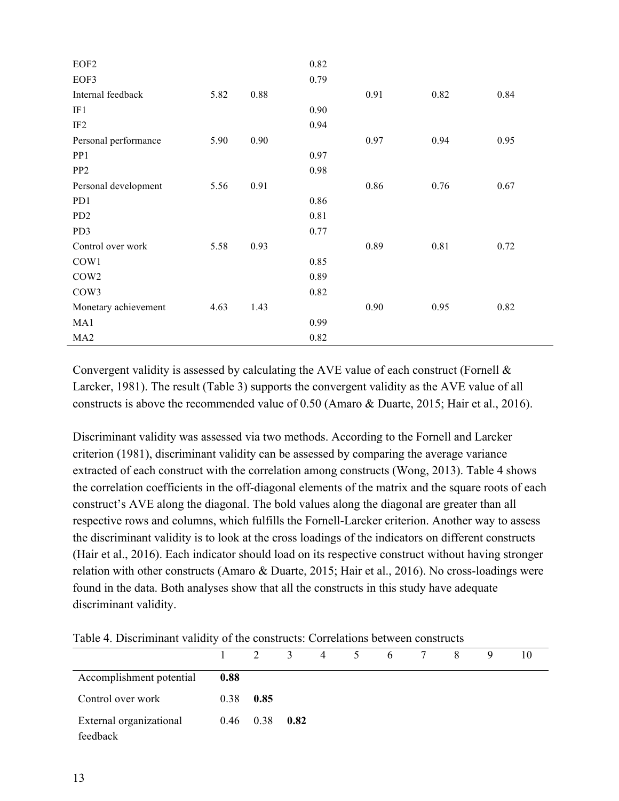| EOF <sub>2</sub>     |      |      | 0.82 |      |      |      |
|----------------------|------|------|------|------|------|------|
| EOF3                 |      |      | 0.79 |      |      |      |
| Internal feedback    | 5.82 | 0.88 |      | 0.91 | 0.82 | 0.84 |
| IF1                  |      |      | 0.90 |      |      |      |
| IF <sub>2</sub>      |      |      | 0.94 |      |      |      |
| Personal performance | 5.90 | 0.90 |      | 0.97 | 0.94 | 0.95 |
| PP1                  |      |      | 0.97 |      |      |      |
| PP <sub>2</sub>      |      |      | 0.98 |      |      |      |
| Personal development | 5.56 | 0.91 |      | 0.86 | 0.76 | 0.67 |
| PD1                  |      |      | 0.86 |      |      |      |
| PD <sub>2</sub>      |      |      | 0.81 |      |      |      |
| PD3                  |      |      | 0.77 |      |      |      |
| Control over work    | 5.58 | 0.93 |      | 0.89 | 0.81 | 0.72 |
| COW1                 |      |      | 0.85 |      |      |      |
| COW <sub>2</sub>     |      |      | 0.89 |      |      |      |
| COW3                 |      |      | 0.82 |      |      |      |
| Monetary achievement | 4.63 | 1.43 |      | 0.90 | 0.95 | 0.82 |
| MA1                  |      |      | 0.99 |      |      |      |
| MA <sub>2</sub>      |      |      | 0.82 |      |      |      |

Convergent validity is assessed by calculating the AVE value of each construct (Fornell & Larcker, 1981). The result (Table 3) supports the convergent validity as the AVE value of all constructs is above the recommended value of 0.50 (Amaro & Duarte, 2015; Hair et al., 2016).

Discriminant validity was assessed via two methods. According to the Fornell and Larcker criterion (1981), discriminant validity can be assessed by comparing the average variance extracted of each construct with the correlation among constructs (Wong, 2013). Table 4 shows the correlation coefficients in the off-diagonal elements of the matrix and the square roots of each construct's AVE along the diagonal. The bold values along the diagonal are greater than all respective rows and columns, which fulfills the Fornell-Larcker criterion. Another way to assess the discriminant validity is to look at the cross loadings of the indicators on different constructs (Hair et al., 2016). Each indicator should load on its respective construct without having stronger relation with other constructs (Amaro & Duarte, 2015; Hair et al., 2016). No cross-loadings were found in the data. Both analyses show that all the constructs in this study have adequate discriminant validity.

Table 4. Discriminant validity of the constructs: Correlations between constructs

|                                     |      |                      |  | 2 3 4 5 6 7 |  | 8 | 9 | 10 |
|-------------------------------------|------|----------------------|--|-------------|--|---|---|----|
| Accomplishment potential            | 0.88 |                      |  |             |  |   |   |    |
| Control over work                   | 0.38 | 0.85                 |  |             |  |   |   |    |
| External organizational<br>feedback |      | $0.46$ $0.38$ $0.82$ |  |             |  |   |   |    |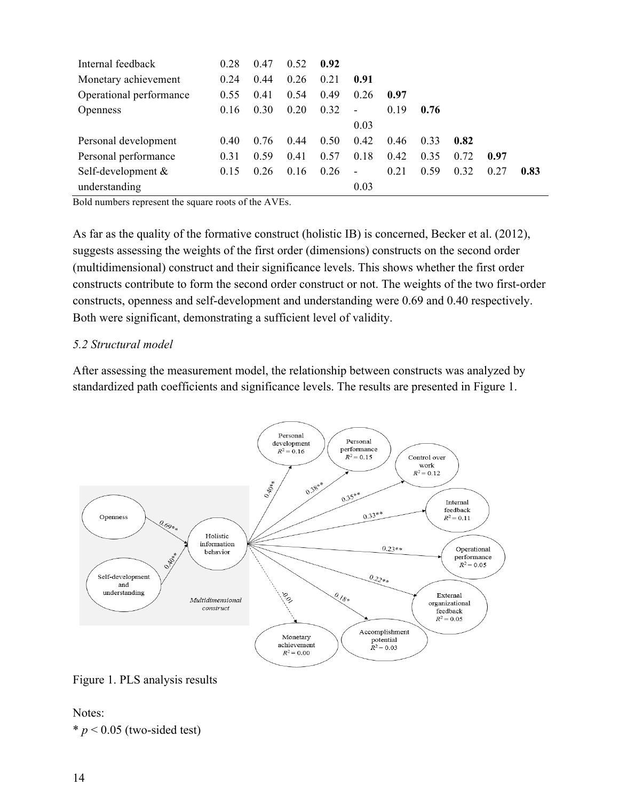| Internal feedback       | 0.28 | 0.47 | 0.52 | 0.92 |                          |      |      |      |      |      |
|-------------------------|------|------|------|------|--------------------------|------|------|------|------|------|
| Monetary achievement    | 0.24 | 0.44 | 0.26 | 0.21 | 0.91                     |      |      |      |      |      |
| Operational performance | 0.55 | 0.41 | 0.54 | 0.49 | 0.26                     | 0.97 |      |      |      |      |
| <b>Openness</b>         | 0.16 | 0.30 | 0.20 | 0.32 | $\overline{\phantom{a}}$ | 0.19 | 0.76 |      |      |      |
|                         |      |      |      |      | 0.03                     |      |      |      |      |      |
| Personal development    | 0.40 | 0.76 | 0.44 | 0.50 | 0.42                     | 0.46 | 0.33 | 0.82 |      |      |
| Personal performance    | 0.31 | 0.59 | 0.41 | 0.57 | 0.18                     | 0.42 | 0.35 | 0.72 | 0.97 |      |
| Self-development $\&$   | 0.15 | 0.26 | 0.16 | 0.26 | ÷,                       | 0.21 | 0.59 | 0.32 | 0.27 | 0.83 |
| understanding           |      |      |      |      | 0.03                     |      |      |      |      |      |

Bold numbers represent the square roots of the AVEs.

As far as the quality of the formative construct (holistic IB) is concerned, Becker et al. (2012), suggests assessing the weights of the first order (dimensions) constructs on the second order (multidimensional) construct and their significance levels. This shows whether the first order constructs contribute to form the second order construct or not. The weights of the two first-order constructs, openness and self-development and understanding were 0.69 and 0.40 respectively. Both were significant, demonstrating a sufficient level of validity.

# *5.2 Structural model*

After assessing the measurement model, the relationship between constructs was analyzed by standardized path coefficients and significance levels. The results are presented in Figure 1.



Figure 1. PLS analysis results

Notes:  $* p < 0.05$  (two-sided test)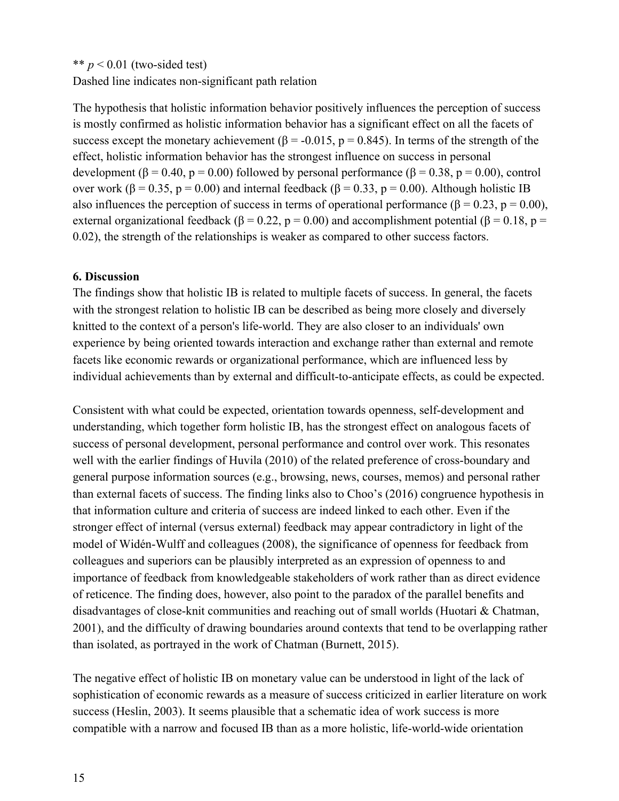\*\*  $p < 0.01$  (two-sided test) Dashed line indicates non-significant path relation

The hypothesis that holistic information behavior positively influences the perception of success is mostly confirmed as holistic information behavior has a significant effect on all the facets of success except the monetary achievement ( $\beta$  = -0.015, p = 0.845). In terms of the strength of the effect, holistic information behavior has the strongest influence on success in personal development (β = 0.40, p = 0.00) followed by personal performance (β = 0.38, p = 0.00), control over work (β = 0.35, p = 0.00) and internal feedback (β = 0.33, p = 0.00). Although holistic IB also influences the perception of success in terms of operational performance ( $\beta = 0.23$ , p = 0.00), external organizational feedback (β = 0.22, p = 0.00) and accomplishment potential (β = 0.18, p = 0.02), the strength of the relationships is weaker as compared to other success factors.

### **6. Discussion**

The findings show that holistic IB is related to multiple facets of success. In general, the facets with the strongest relation to holistic IB can be described as being more closely and diversely knitted to the context of a person's life-world. They are also closer to an individuals' own experience by being oriented towards interaction and exchange rather than external and remote facets like economic rewards or organizational performance, which are influenced less by individual achievements than by external and difficult-to-anticipate effects, as could be expected.

Consistent with what could be expected, orientation towards openness, self-development and understanding, which together form holistic IB, has the strongest effect on analogous facets of success of personal development, personal performance and control over work. This resonates well with the earlier findings of Huvila (2010) of the related preference of cross-boundary and general purpose information sources (e.g., browsing, news, courses, memos) and personal rather than external facets of success. The finding links also to Choo's (2016) congruence hypothesis in that information culture and criteria of success are indeed linked to each other. Even if the stronger effect of internal (versus external) feedback may appear contradictory in light of the model of Widén-Wulff and colleagues (2008), the significance of openness for feedback from colleagues and superiors can be plausibly interpreted as an expression of openness to and importance of feedback from knowledgeable stakeholders of work rather than as direct evidence of reticence. The finding does, however, also point to the paradox of the parallel benefits and disadvantages of close-knit communities and reaching out of small worlds (Huotari & Chatman, 2001), and the difficulty of drawing boundaries around contexts that tend to be overlapping rather than isolated, as portrayed in the work of Chatman (Burnett, 2015).

The negative effect of holistic IB on monetary value can be understood in light of the lack of sophistication of economic rewards as a measure of success criticized in earlier literature on work success (Heslin, 2003). It seems plausible that a schematic idea of work success is more compatible with a narrow and focused IB than as a more holistic, life-world-wide orientation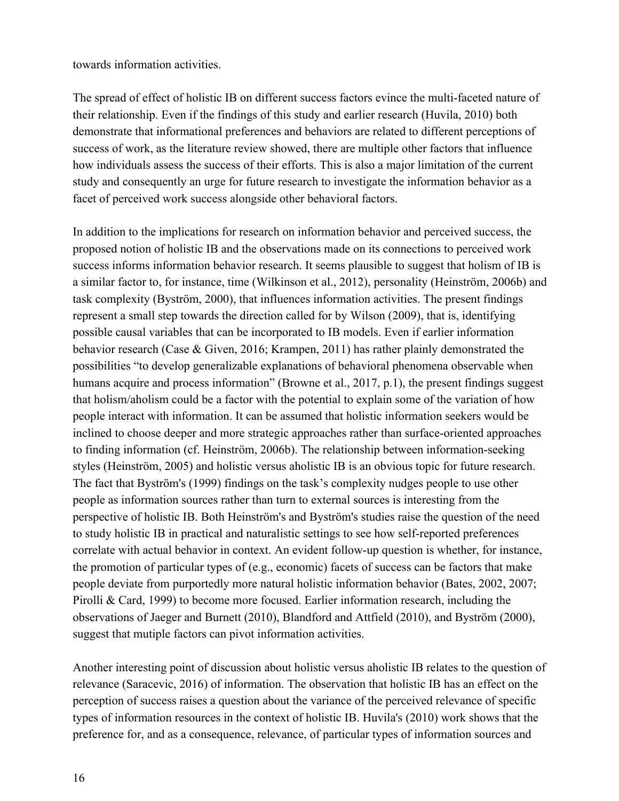towards information activities.

The spread of effect of holistic IB on different success factors evince the multi-faceted nature of their relationship. Even if the findings of this study and earlier research (Huvila, 2010) both demonstrate that informational preferences and behaviors are related to different perceptions of success of work, as the literature review showed, there are multiple other factors that influence how individuals assess the success of their efforts. This is also a major limitation of the current study and consequently an urge for future research to investigate the information behavior as a facet of perceived work success alongside other behavioral factors.

In addition to the implications for research on information behavior and perceived success, the proposed notion of holistic IB and the observations made on its connections to perceived work success informs information behavior research. It seems plausible to suggest that holism of IB is a similar factor to, for instance, time (Wilkinson et al., 2012), personality (Heinström, 2006b) and task complexity (Byström, 2000), that influences information activities. The present findings represent a small step towards the direction called for by Wilson (2009), that is, identifying possible causal variables that can be incorporated to IB models. Even if earlier information behavior research (Case & Given, 2016; Krampen, 2011) has rather plainly demonstrated the possibilities "to develop generalizable explanations of behavioral phenomena observable when humans acquire and process information" (Browne et al., 2017, p.1), the present findings suggest that holism/aholism could be a factor with the potential to explain some of the variation of how people interact with information. It can be assumed that holistic information seekers would be inclined to choose deeper and more strategic approaches rather than surface-oriented approaches to finding information (cf. Heinström, 2006b). The relationship between information-seeking styles (Heinström, 2005) and holistic versus aholistic IB is an obvious topic for future research. The fact that Byström's (1999) findings on the task's complexity nudges people to use other people as information sources rather than turn to external sources is interesting from the perspective of holistic IB. Both Heinström's and Byström's studies raise the question of the need to study holistic IB in practical and naturalistic settings to see how self-reported preferences correlate with actual behavior in context. An evident follow-up question is whether, for instance, the promotion of particular types of (e.g., economic) facets of success can be factors that make people deviate from purportedly more natural holistic information behavior (Bates, 2002, 2007; Pirolli & Card, 1999) to become more focused. Earlier information research, including the observations of Jaeger and Burnett (2010), Blandford and Attfield (2010), and Byström (2000), suggest that mutiple factors can pivot information activities.

Another interesting point of discussion about holistic versus aholistic IB relates to the question of relevance (Saracevic, 2016) of information. The observation that holistic IB has an effect on the perception of success raises a question about the variance of the perceived relevance of specific types of information resources in the context of holistic IB. Huvila's (2010) work shows that the preference for, and as a consequence, relevance, of particular types of information sources and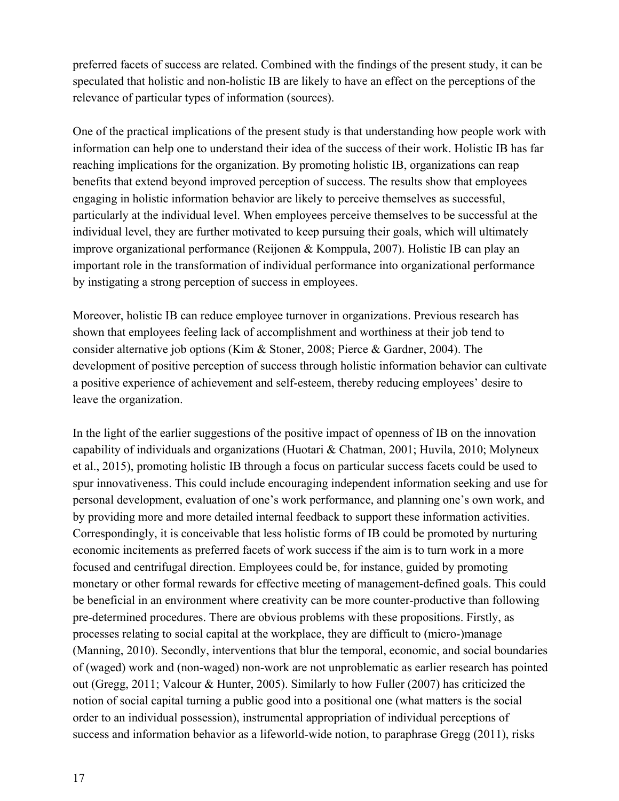preferred facets of success are related. Combined with the findings of the present study, it can be speculated that holistic and non-holistic IB are likely to have an effect on the perceptions of the relevance of particular types of information (sources).

One of the practical implications of the present study is that understanding how people work with information can help one to understand their idea of the success of their work. Holistic IB has far reaching implications for the organization. By promoting holistic IB, organizations can reap benefits that extend beyond improved perception of success. The results show that employees engaging in holistic information behavior are likely to perceive themselves as successful, particularly at the individual level. When employees perceive themselves to be successful at the individual level, they are further motivated to keep pursuing their goals, which will ultimately improve organizational performance (Reijonen & Komppula, 2007). Holistic IB can play an important role in the transformation of individual performance into organizational performance by instigating a strong perception of success in employees.

Moreover, holistic IB can reduce employee turnover in organizations. Previous research has shown that employees feeling lack of accomplishment and worthiness at their job tend to consider alternative job options (Kim & Stoner, 2008; Pierce & Gardner, 2004). The development of positive perception of success through holistic information behavior can cultivate a positive experience of achievement and self-esteem, thereby reducing employees' desire to leave the organization.

In the light of the earlier suggestions of the positive impact of openness of IB on the innovation capability of individuals and organizations (Huotari & Chatman, 2001; Huvila, 2010; Molyneux et al., 2015), promoting holistic IB through a focus on particular success facets could be used to spur innovativeness. This could include encouraging independent information seeking and use for personal development, evaluation of one's work performance, and planning one's own work, and by providing more and more detailed internal feedback to support these information activities. Correspondingly, it is conceivable that less holistic forms of IB could be promoted by nurturing economic incitements as preferred facets of work success if the aim is to turn work in a more focused and centrifugal direction. Employees could be, for instance, guided by promoting monetary or other formal rewards for effective meeting of management-defined goals. This could be beneficial in an environment where creativity can be more counter-productive than following pre-determined procedures. There are obvious problems with these propositions. Firstly, as processes relating to social capital at the workplace, they are difficult to (micro-)manage (Manning, 2010). Secondly, interventions that blur the temporal, economic, and social boundaries of (waged) work and (non-waged) non-work are not unproblematic as earlier research has pointed out (Gregg, 2011; Valcour & Hunter, 2005). Similarly to how Fuller (2007) has criticized the notion of social capital turning a public good into a positional one (what matters is the social order to an individual possession), instrumental appropriation of individual perceptions of success and information behavior as a lifeworld-wide notion, to paraphrase Gregg (2011), risks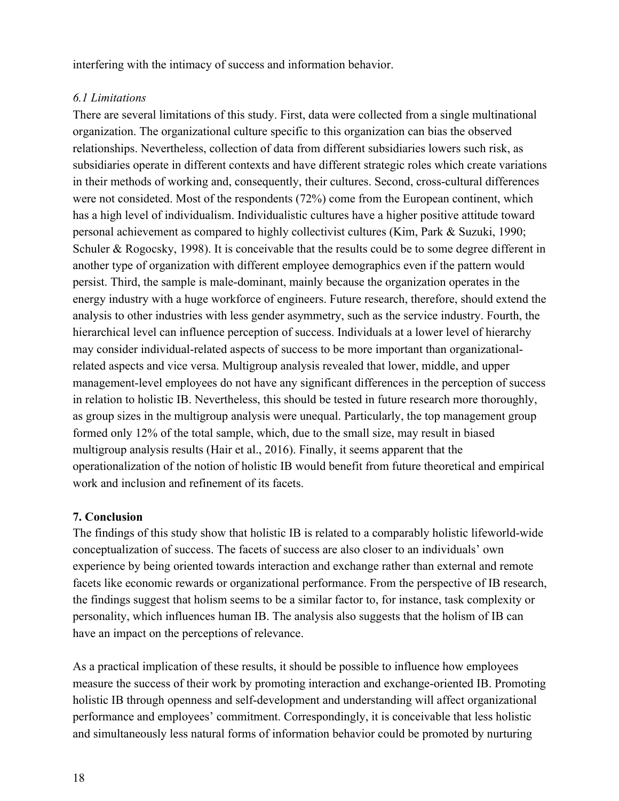interfering with the intimacy of success and information behavior.

# *6.1 Limitations*

There are several limitations of this study. First, data were collected from a single multinational organization. The organizational culture specific to this organization can bias the observed relationships. Nevertheless, collection of data from different subsidiaries lowers such risk, as subsidiaries operate in different contexts and have different strategic roles which create variations in their methods of working and, consequently, their cultures. Second, cross-cultural differences were not consideted. Most of the respondents (72%) come from the European continent, which has a high level of individualism. Individualistic cultures have a higher positive attitude toward personal achievement as compared to highly collectivist cultures (Kim, Park & Suzuki, 1990; Schuler & Rogocsky, 1998). It is conceivable that the results could be to some degree different in another type of organization with different employee demographics even if the pattern would persist. Third, the sample is male-dominant, mainly because the organization operates in the energy industry with a huge workforce of engineers. Future research, therefore, should extend the analysis to other industries with less gender asymmetry, such as the service industry. Fourth, the hierarchical level can influence perception of success. Individuals at a lower level of hierarchy may consider individual-related aspects of success to be more important than organizationalrelated aspects and vice versa. Multigroup analysis revealed that lower, middle, and upper management-level employees do not have any significant differences in the perception of success in relation to holistic IB. Nevertheless, this should be tested in future research more thoroughly, as group sizes in the multigroup analysis were unequal. Particularly, the top management group formed only 12% of the total sample, which, due to the small size, may result in biased multigroup analysis results (Hair et al., 2016). Finally, it seems apparent that the operationalization of the notion of holistic IB would benefit from future theoretical and empirical work and inclusion and refinement of its facets.

### **7. Conclusion**

The findings of this study show that holistic IB is related to a comparably holistic lifeworld-wide conceptualization of success. The facets of success are also closer to an individuals' own experience by being oriented towards interaction and exchange rather than external and remote facets like economic rewards or organizational performance. From the perspective of IB research, the findings suggest that holism seems to be a similar factor to, for instance, task complexity or personality, which influences human IB. The analysis also suggests that the holism of IB can have an impact on the perceptions of relevance.

As a practical implication of these results, it should be possible to influence how employees measure the success of their work by promoting interaction and exchange-oriented IB. Promoting holistic IB through openness and self-development and understanding will affect organizational performance and employees' commitment. Correspondingly, it is conceivable that less holistic and simultaneously less natural forms of information behavior could be promoted by nurturing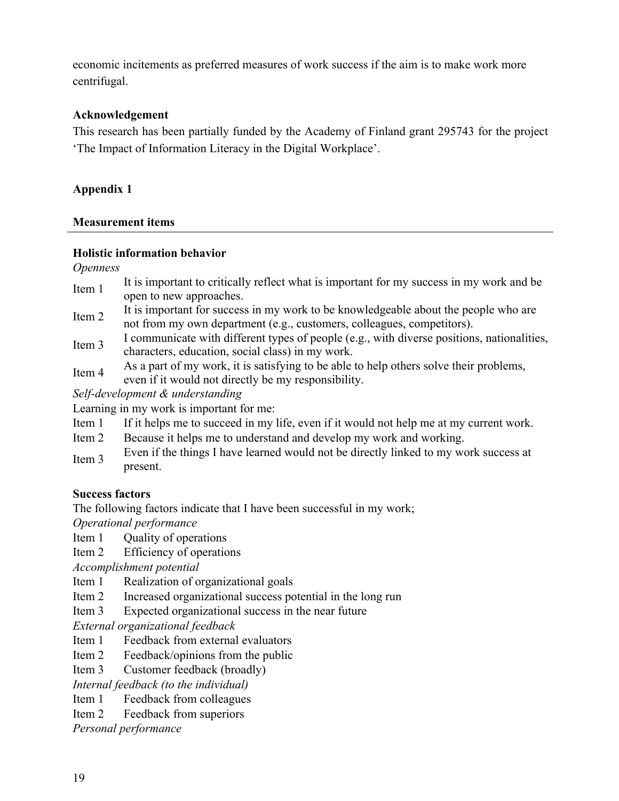economic incitements as preferred measures of work success if the aim is to make work more centrifugal.

### **Acknowledgement**

This research has been partially funded by the Academy of Finland grant 295743 for the project 'The Impact of Information Literacy in the Digital Workplace'.

# **Appendix 1**

### **Measurement items**

### **Holistic information behavior**

*Openness*

- It is important to critically reflect what is important for my success in my work and be open to new approaches.
- It is important for success in my work to be knowledgeable about the people who are not from my own department (e.g., customers, colleagues, competitors).
- Item 3 I communicate with different types of people (e.g., with diverse positions, nationalities, characters, education, social class) in my work.
- Item 4 As a part of my work, it is satisfying to be able to help others solve their problems,

even if it would not directly be my responsibility.

*Self-development & understanding*

Learning in my work is important for me:

- Item 1 If it helps me to succeed in my life, even if it would not help me at my current work.
- Item 2 Because it helps me to understand and develop my work and working.
- Item 3 Even if the things I have learned would not be directly linked to my work success at present.

### **Success factors**

The following factors indicate that I have been successful in my work;

*Operational performance*

Item 1 Quality of operations

Item 2 Efficiency of operations

*Accomplishment potential*

Item 1 Realization of organizational goals

- Item 2 Increased organizational success potential in the long run
- Item 3 Expected organizational success in the near future

*External organizational feedback* 

Item 1 Feedback from external evaluators

Item 2 Feedback/opinions from the public

Item 3 Customer feedback (broadly)

*Internal feedback (to the individual)*

Item 1 Feedback from colleagues

Item 2 Feedback from superiors

*Personal performance*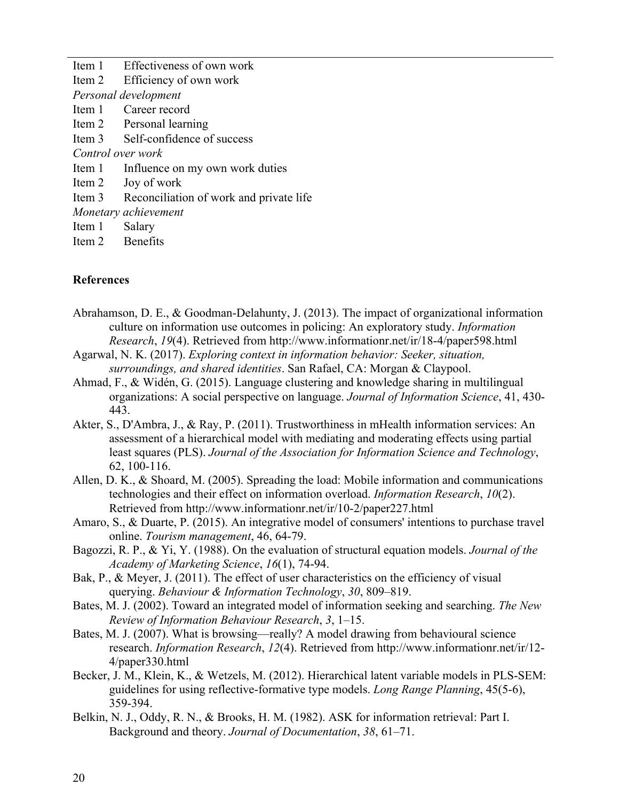Item 1 Effectiveness of own work Item 2 Efficiency of own work *Personal development* Item 1 Career record Item 2 Personal learning Item 3 Self-confidence of success *Control over work* Item 1 Influence on my own work duties Item 2 Joy of work Item 3 Reconciliation of work and private life *Monetary achievement* Item 1 Salary Item 2 Benefits

### **References**

- Abrahamson, D. E., & Goodman-Delahunty, J. (2013). The impact of organizational information culture on information use outcomes in policing: An exploratory study. *Information Research*, *19*(4). Retrieved from http://www.informationr.net/ir/18-4/paper598.html
- Agarwal, N. K. (2017). *Exploring context in information behavior: Seeker, situation, surroundings, and shared identities*. San Rafael, CA: Morgan & Claypool.
- Ahmad, F., & Widén, G. (2015). Language clustering and knowledge sharing in multilingual organizations: A social perspective on language. *Journal of Information Science*, 41, 430- 443.
- Akter, S., D'Ambra, J., & Ray, P. (2011). Trustworthiness in mHealth information services: An assessment of a hierarchical model with mediating and moderating effects using partial least squares (PLS). *Journal of the Association for Information Science and Technology*, 62, 100-116.
- Allen, D. K., & Shoard, M. (2005). Spreading the load: Mobile information and communications technologies and their effect on information overload. *Information Research*, *10*(2). Retrieved from http://www.informationr.net/ir/10-2/paper227.html
- Amaro, S., & Duarte, P. (2015). An integrative model of consumers' intentions to purchase travel online. *Tourism management*, 46, 64-79.
- Bagozzi, R. P., & Yi, Y. (1988). On the evaluation of structural equation models. *Journal of the Academy of Marketing Science*, *16*(1), 74-94.
- Bak, P., & Meyer, J. (2011). The effect of user characteristics on the efficiency of visual querying. *Behaviour & Information Technology*, *30*, 809–819.
- Bates, M. J. (2002). Toward an integrated model of information seeking and searching. *The New Review of Information Behaviour Research*, *3*, 1–15.
- Bates, M. J. (2007). What is browsing—really? A model drawing from behavioural science research. *Information Research*, *12*(4). Retrieved from http://www.informationr.net/ir/12- 4/paper330.html
- Becker, J. M., Klein, K., & Wetzels, M. (2012). Hierarchical latent variable models in PLS-SEM: guidelines for using reflective-formative type models. *Long Range Planning*, 45(5-6), 359-394.
- Belkin, N. J., Oddy, R. N., & Brooks, H. M. (1982). ASK for information retrieval: Part I. Background and theory. *Journal of Documentation*, *38*, 61–71.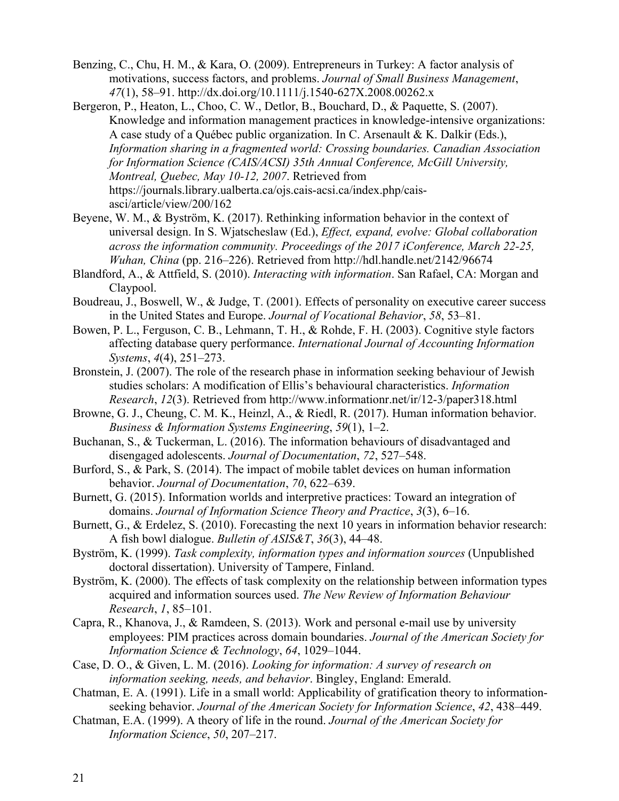- Benzing, C., Chu, H. M., & Kara, O. (2009). Entrepreneurs in Turkey: A factor analysis of motivations, success factors, and problems. *Journal of Small Business Management*, *47*(1), 58–91. http://dx.doi.org/10.1111/j.1540-627X.2008.00262.x
- Bergeron, P., Heaton, L., Choo, C. W., Detlor, B., Bouchard, D., & Paquette, S. (2007). Knowledge and information management practices in knowledge-intensive organizations: A case study of a Québec public organization. In C. Arsenault & K. Dalkir (Eds.), *Information sharing in a fragmented world: Crossing boundaries. Canadian Association for Information Science (CAIS/ACSI) 35th Annual Conference, McGill University, Montreal, Quebec, May 10-12, 2007*. Retrieved from https://journals.library.ualberta.ca/ojs.cais-acsi.ca/index.php/caisasci/article/view/200/162
- Beyene, W. M., & Byström, K. (2017). Rethinking information behavior in the context of universal design. In S. Wjatscheslaw (Ed.), *Effect, expand, evolve: Global collaboration across the information community. Proceedings of the 2017 iConference, March 22-25, Wuhan, China* (pp. 216–226). Retrieved from http://hdl.handle.net/2142/96674
- Blandford, A., & Attfield, S. (2010). *Interacting with information*. San Rafael, CA: Morgan and Claypool.
- Boudreau, J., Boswell, W., & Judge, T. (2001). Effects of personality on executive career success in the United States and Europe. *Journal of Vocational Behavior*, *58*, 53–81.
- Bowen, P. L., Ferguson, C. B., Lehmann, T. H., & Rohde, F. H. (2003). Cognitive style factors affecting database query performance. *International Journal of Accounting Information Systems*, *4*(4), 251–273.
- Bronstein, J. (2007). The role of the research phase in information seeking behaviour of Jewish studies scholars: A modification of Ellis's behavioural characteristics. *Information Research*, *12*(3). Retrieved from http://www.informationr.net/ir/12-3/paper318.html
- Browne, G. J., Cheung, C. M. K., Heinzl, A., & Riedl, R. (2017). Human information behavior. *Business & Information Systems Engineering*, *59*(1), 1–2.
- Buchanan, S., & Tuckerman, L. (2016). The information behaviours of disadvantaged and disengaged adolescents. *Journal of Documentation*, *72*, 527–548.
- Burford, S., & Park, S. (2014). The impact of mobile tablet devices on human information behavior. *Journal of Documentation*, *70*, 622–639.
- Burnett, G. (2015). Information worlds and interpretive practices: Toward an integration of domains. *Journal of Information Science Theory and Practice*, *3*(3), 6–16.
- Burnett, G., & Erdelez, S. (2010). Forecasting the next 10 years in information behavior research: A fish bowl dialogue. *Bulletin of ASIS&T*, *36*(3), 44–48.
- Byström, K. (1999). *Task complexity, information types and information sources* (Unpublished doctoral dissertation). University of Tampere, Finland.
- Byström, K. (2000). The effects of task complexity on the relationship between information types acquired and information sources used. *The New Review of Information Behaviour Research*, *1*, 85–101.
- Capra, R., Khanova, J., & Ramdeen, S. (2013). Work and personal e-mail use by university employees: PIM practices across domain boundaries. *Journal of the American Society for Information Science & Technology*, *64*, 1029–1044.
- Case, D. O., & Given, L. M. (2016). *Looking for information: A survey of research on information seeking, needs, and behavior*. Bingley, England: Emerald.
- Chatman, E. A. (1991). Life in a small world: Applicability of gratification theory to informationseeking behavior. *Journal of the American Society for Information Science*, *42*, 438–449.
- Chatman, E.A. (1999). A theory of life in the round. *Journal of the American Society for Information Science*, *50*, 207–217.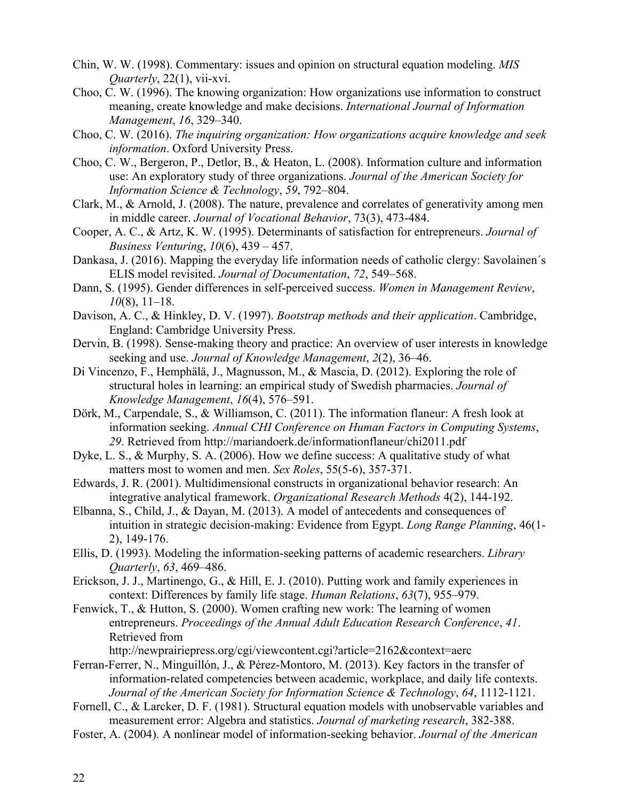- Chin, W. W. (1998). Commentary: issues and opinion on structural equation modeling. *MIS Quarterly*, 22(1), vii-xvi.
- Choo, C. W. (1996). The knowing organization: How organizations use information to construct meaning, create knowledge and make decisions. *International Journal of Information Management*, *16*, 329–340.
- Choo, C. W. (2016). *The inquiring organization: How organizations acquire knowledge and seek information*. Oxford University Press.
- Choo, C. W., Bergeron, P., Detlor, B., & Heaton, L. (2008). Information culture and information use: An exploratory study of three organizations. *Journal of the American Society for Information Science & Technology*, *59*, 792–804.
- Clark, M., & Arnold, J. (2008). The nature, prevalence and correlates of generativity among men in middle career. *Journal of Vocational Behavior*, 73(3), 473-484.
- Cooper, A. C., & Artz, K. W. (1995). Determinants of satisfaction for entrepreneurs. *Journal of Business Venturing*, *10*(6), 439 – 457.
- Dankasa, J. (2016). Mapping the everyday life information needs of catholic clergy: Savolainen´s ELIS model revisited. *Journal of Documentation*, *72*, 549–568.
- Dann, S. (1995). Gender differences in self-perceived success. *Women in Management Review*, *10*(8), 11–18.
- Davison, A. C., & Hinkley, D. V. (1997). *Bootstrap methods and their application*. Cambridge, England: Cambridge University Press.
- Dervin, B. (1998). Sense-making theory and practice: An overview of user interests in knowledge seeking and use. *Journal of Knowledge Management*, *2*(2), 36–46.
- Di Vincenzo, F., Hemphälä, J., Magnusson, M., & Mascia, D. (2012). Exploring the role of structural holes in learning: an empirical study of Swedish pharmacies. *Journal of Knowledge Management*, *16*(4), 576–591.
- Dörk, M., Carpendale, S., & Williamson, C. (2011). The information flaneur: A fresh look at information seeking. *Annual CHI Conference on Human Factors in Computing Systems*, *29*. Retrieved from http://mariandoerk.de/informationflaneur/chi2011.pdf
- Dyke, L. S., & Murphy, S. A. (2006). How we define success: A qualitative study of what matters most to women and men. *Sex Roles*, 55(5-6), 357-371.
- Edwards, J. R. (2001). Multidimensional constructs in organizational behavior research: An integrative analytical framework. *Organizational Research Methods* 4(2), 144-192.
- Elbanna, S., Child, J., & Dayan, M. (2013). A model of antecedents and consequences of intuition in strategic decision-making: Evidence from Egypt. *Long Range Planning*, 46(1- 2), 149-176.
- Ellis, D. (1993). Modeling the information-seeking patterns of academic researchers. *Library Quarterly*, *63*, 469–486.
- Erickson, J. J., Martinengo, G., & Hill, E. J. (2010). Putting work and family experiences in context: Differences by family life stage. *Human Relations*, *63*(7), 955–979.
- Fenwick, T., & Hutton, S. (2000). Women crafting new work: The learning of women entrepreneurs. *Proceedings of the Annual Adult Education Research Conference*, *41*. Retrieved from
	- http://newprairiepress.org/cgi/viewcontent.cgi?article=2162&context=aerc
- Ferran-Ferrer, N., Minguillón, J., & Pérez-Montoro, M. (2013). Key factors in the transfer of information-related competencies between academic, workplace, and daily life contexts. *Journal of the American Society for Information Science & Technology*, *64*, 1112-1121.
- Fornell, C., & Larcker, D. F. (1981). Structural equation models with unobservable variables and measurement error: Algebra and statistics. *Journal of marketing research*, 382-388.
- Foster, A. (2004). A nonlinear model of information-seeking behavior. *Journal of the American*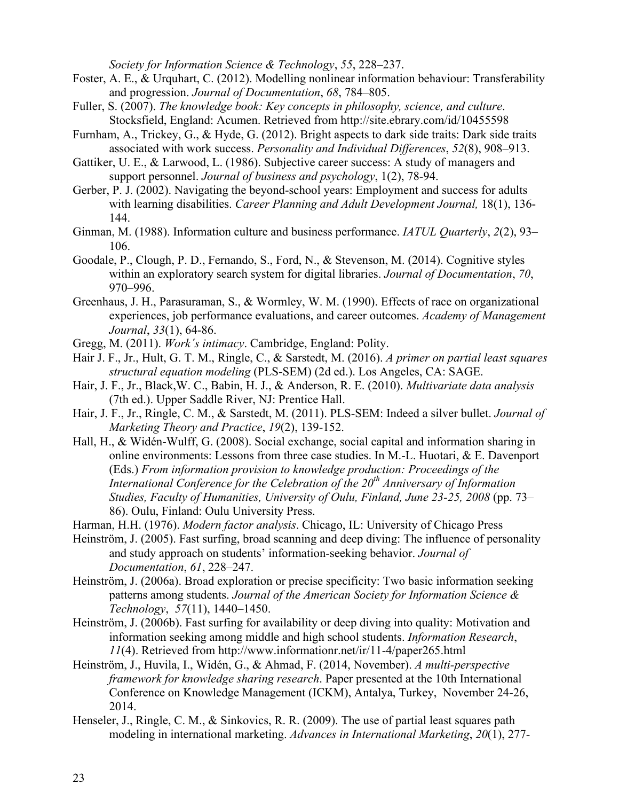*Society for Information Science & Technology*, *55*, 228–237.

- Foster, A. E., & Urquhart, C. (2012). Modelling nonlinear information behaviour: Transferability and progression. *Journal of Documentation*, *68*, 784–805.
- Fuller, S. (2007). *The knowledge book: Key concepts in philosophy, science, and culture*. Stocksfield, England: Acumen. Retrieved from http://site.ebrary.com/id/10455598
- Furnham, A., Trickey, G., & Hyde, G. (2012). Bright aspects to dark side traits: Dark side traits associated with work success. *Personality and Individual Differences*, *52*(8), 908–913.
- Gattiker, U. E., & Larwood, L. (1986). Subjective career success: A study of managers and support personnel. *Journal of business and psychology*, 1(2), 78-94.
- Gerber, P. J. (2002). Navigating the beyond-school years: Employment and success for adults with learning disabilities. *Career Planning and Adult Development Journal,* 18(1), 136- 144.
- Ginman, M. (1988). Information culture and business performance. *IATUL Quarterly*, *2*(2), 93– 106.
- Goodale, P., Clough, P. D., Fernando, S., Ford, N., & Stevenson, M. (2014). Cognitive styles within an exploratory search system for digital libraries. *Journal of Documentation*, *70*, 970–996.
- Greenhaus, J. H., Parasuraman, S., & Wormley, W. M. (1990). Effects of race on organizational experiences, job performance evaluations, and career outcomes. *Academy of Management Journal*, *33*(1), 64-86.
- Gregg, M. (2011). *Work´s intimacy*. Cambridge, England: Polity.
- Hair J. F., Jr., Hult, G. T. M., Ringle, C., & Sarstedt, M. (2016). *A primer on partial least squares structural equation modeling* (PLS-SEM) (2d ed.). Los Angeles, CA: SAGE.
- Hair, J. F., Jr., Black,W. C., Babin, H. J., & Anderson, R. E. (2010). *Multivariate data analysis* (7th ed.). Upper Saddle River, NJ: Prentice Hall.
- Hair, J. F., Jr., Ringle, C. M., & Sarstedt, M. (2011). PLS-SEM: Indeed a silver bullet. *Journal of Marketing Theory and Practice*, *19*(2), 139-152.
- Hall, H., & Widén-Wulff, G. (2008). Social exchange, social capital and information sharing in online environments: Lessons from three case studies. In M.-L. Huotari, & E. Davenport (Eds.) *From information provision to knowledge production: Proceedings of the International Conference for the Celebration of the 20th Anniversary of Information Studies, Faculty of Humanities, University of Oulu, Finland, June 23-25, 2008* (pp. 73– 86). Oulu, Finland: Oulu University Press.
- Harman, H.H. (1976). *Modern factor analysis*. Chicago, IL: University of Chicago Press
- Heinström, J. (2005). Fast surfing, broad scanning and deep diving: The influence of personality and study approach on students' information-seeking behavior. *Journal of Documentation*, *61*, 228–247.
- Heinström, J. (2006a). Broad exploration or precise specificity: Two basic information seeking patterns among students. *Journal of the American Society for Information Science & Technology*, *57*(11), 1440–1450.
- Heinström, J. (2006b). Fast surfing for availability or deep diving into quality: Motivation and information seeking among middle and high school students. *Information Research*, *11*(4). Retrieved from http://www.informationr.net/ir/11-4/paper265.html
- Heinström, J., Huvila, I., Widén, G., & Ahmad, F. (2014, November). *A multi-perspective framework for knowledge sharing research*. Paper presented at the 10th International Conference on Knowledge Management (ICKM), Antalya, Turkey, November 24-26, 2014.
- Henseler, J., Ringle, C. M., & Sinkovics, R. R. (2009). The use of partial least squares path modeling in international marketing. *Advances in International Marketing*, *20*(1), 277-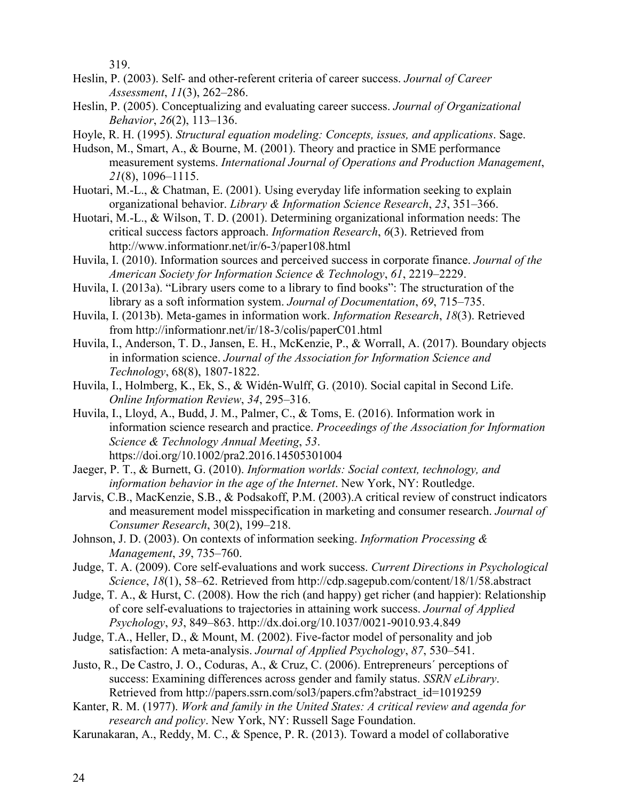319.

- Heslin, P. (2003). Self- and other-referent criteria of career success. *Journal of Career Assessment*, *11*(3), 262–286.
- Heslin, P. (2005). Conceptualizing and evaluating career success. *Journal of Organizational Behavior*, *26*(2), 113–136.
- Hoyle, R. H. (1995). *Structural equation modeling: Concepts, issues, and applications*. Sage.
- Hudson, M., Smart, A., & Bourne, M. (2001). Theory and practice in SME performance measurement systems. *International Journal of Operations and Production Management*, *21*(8), 1096–1115.
- Huotari, M.-L., & Chatman, E. (2001). Using everyday life information seeking to explain organizational behavior. *Library & Information Science Research*, *23*, 351–366.
- Huotari, M.-L., & Wilson, T. D. (2001). Determining organizational information needs: The critical success factors approach. *Information Research*, *6*(3). Retrieved from http://www.informationr.net/ir/6-3/paper108.html
- Huvila, I. (2010). Information sources and perceived success in corporate finance. *Journal of the American Society for Information Science & Technology*, *61*, 2219–2229.
- Huvila, I. (2013a). "Library users come to a library to find books": The structuration of the library as a soft information system. *Journal of Documentation*, *69*, 715–735.
- Huvila, I. (2013b). Meta-games in information work. *Information Research*, *18*(3). Retrieved from http://informationr.net/ir/18-3/colis/paperC01.html
- Huvila, I., Anderson, T. D., Jansen, E. H., McKenzie, P., & Worrall, A. (2017). Boundary objects in information science. *Journal of the Association for Information Science and Technology*, 68(8), 1807-1822.
- Huvila, I., Holmberg, K., Ek, S., & Widén-Wulff, G. (2010). Social capital in Second Life. *Online Information Review*, *34*, 295–316.
- Huvila, I., Lloyd, A., Budd, J. M., Palmer, C., & Toms, E. (2016). Information work in information science research and practice. *Proceedings of the Association for Information Science & Technology Annual Meeting*, *53*. https://doi.org/10.1002/pra2.2016.14505301004
- Jaeger, P. T., & Burnett, G. (2010). *Information worlds: Social context, technology, and information behavior in the age of the Internet*. New York, NY: Routledge.
- Jarvis, C.B., MacKenzie, S.B., & Podsakoff, P.M. (2003).A critical review of construct indicators and measurement model misspecification in marketing and consumer research. *Journal of Consumer Research*, 30(2), 199–218.
- Johnson, J. D. (2003). On contexts of information seeking. *Information Processing & Management*, *39*, 735–760.
- Judge, T. A. (2009). Core self-evaluations and work success. *Current Directions in Psychological Science*, *18*(1), 58–62. Retrieved from http://cdp.sagepub.com/content/18/1/58.abstract
- Judge, T. A., & Hurst, C. (2008). How the rich (and happy) get richer (and happier): Relationship of core self-evaluations to trajectories in attaining work success. *Journal of Applied Psychology*, *93*, 849–863. http://dx.doi.org/10.1037/0021-9010.93.4.849
- Judge, T.A., Heller, D., & Mount, M. (2002). Five-factor model of personality and job satisfaction: A meta-analysis. *Journal of Applied Psychology*, *87*, 530–541.
- Justo, R., De Castro, J. O., Coduras, A., & Cruz, C. (2006). Entrepreneurs´ perceptions of success: Examining differences across gender and family status. *SSRN eLibrary*. Retrieved from http://papers.ssrn.com/sol3/papers.cfm?abstract\_id=1019259
- Kanter, R. M. (1977). *Work and family in the United States: A critical review and agenda for research and policy*. New York, NY: Russell Sage Foundation.
- Karunakaran, A., Reddy, M. C., & Spence, P. R. (2013). Toward a model of collaborative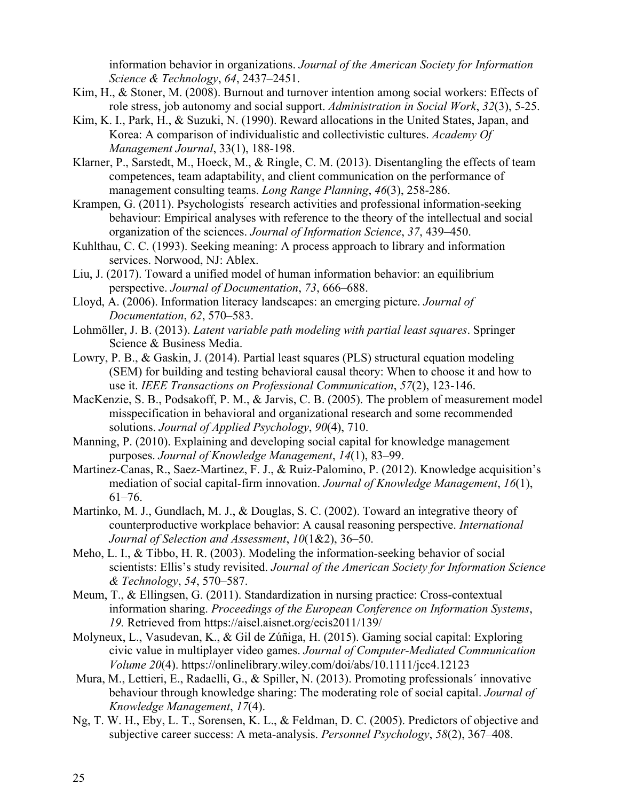information behavior in organizations. *Journal of the American Society for Information Science & Technology*, *64*, 2437–2451.

- Kim, H., & Stoner, M. (2008). Burnout and turnover intention among social workers: Effects of role stress, job autonomy and social support. *Administration in Social Work*, *32*(3), 5-25.
- Kim, K. I., Park, H., & Suzuki, N. (1990). Reward allocations in the United States, Japan, and Korea: A comparison of individualistic and collectivistic cultures. *Academy Of Management Journal*, 33(1), 188-198.
- Klarner, P., Sarstedt, M., Hoeck, M., & Ringle, C. M. (2013). Disentangling the effects of team competences, team adaptability, and client communication on the performance of management consulting teams. *Long Range Planning*, *46*(3), 258-286.
- Krampen, G. (2011). Psychologists research activities and professional information-seeking behaviour: Empirical analyses with reference to the theory of the intellectual and social organization of the sciences. *Journal of Information Science*, *37*, 439–450.
- Kuhlthau, C. C. (1993). Seeking meaning: A process approach to library and information services. Norwood, NJ: Ablex.
- Liu, J. (2017). Toward a unified model of human information behavior: an equilibrium perspective. *Journal of Documentation*, *73*, 666–688.
- Lloyd, A. (2006). Information literacy landscapes: an emerging picture. *Journal of Documentation*, *62*, 570–583.
- Lohmöller, J. B. (2013). *Latent variable path modeling with partial least squares*. Springer Science & Business Media.
- Lowry, P. B., & Gaskin, J. (2014). Partial least squares (PLS) structural equation modeling (SEM) for building and testing behavioral causal theory: When to choose it and how to use it. *IEEE Transactions on Professional Communication*, *57*(2), 123-146.
- MacKenzie, S. B., Podsakoff, P. M., & Jarvis, C. B. (2005). The problem of measurement model misspecification in behavioral and organizational research and some recommended solutions. *Journal of Applied Psychology*, *90*(4), 710.
- Manning, P. (2010). Explaining and developing social capital for knowledge management purposes. *Journal of Knowledge Management*, *14*(1), 83–99.
- Martinez-Canas, R., Saez-Martinez, F. J., & Ruiz-Palomino, P. (2012). Knowledge acquisition's mediation of social capital-firm innovation. *Journal of Knowledge Management*, *16*(1), 61–76.
- Martinko, M. J., Gundlach, M. J., & Douglas, S. C. (2002). Toward an integrative theory of counterproductive workplace behavior: A causal reasoning perspective. *International Journal of Selection and Assessment*, *10*(1&2), 36–50.
- Meho, L. I., & Tibbo, H. R. (2003). Modeling the information-seeking behavior of social scientists: Ellis's study revisited. *Journal of the American Society for Information Science & Technology*, *54*, 570–587.
- Meum, T., & Ellingsen, G. (2011). Standardization in nursing practice: Cross-contextual information sharing. *Proceedings of the European Conference on Information Systems*, *19.* Retrieved from https://aisel.aisnet.org/ecis2011/139/
- Molyneux, L., Vasudevan, K., & Gil de Zúñiga, H. (2015). Gaming social capital: Exploring civic value in multiplayer video games. *Journal of Computer-Mediated Communication Volume 20*(4). https://onlinelibrary.wiley.com/doi/abs/10.1111/jcc4.12123
- Mura, M., Lettieri, E., Radaelli, G., & Spiller, N. (2013). Promoting professionals´ innovative behaviour through knowledge sharing: The moderating role of social capital. *Journal of Knowledge Management*, *17*(4).
- Ng, T. W. H., Eby, L. T., Sorensen, K. L., & Feldman, D. C. (2005). Predictors of objective and subjective career success: A meta-analysis. *Personnel Psychology*, *58*(2), 367–408.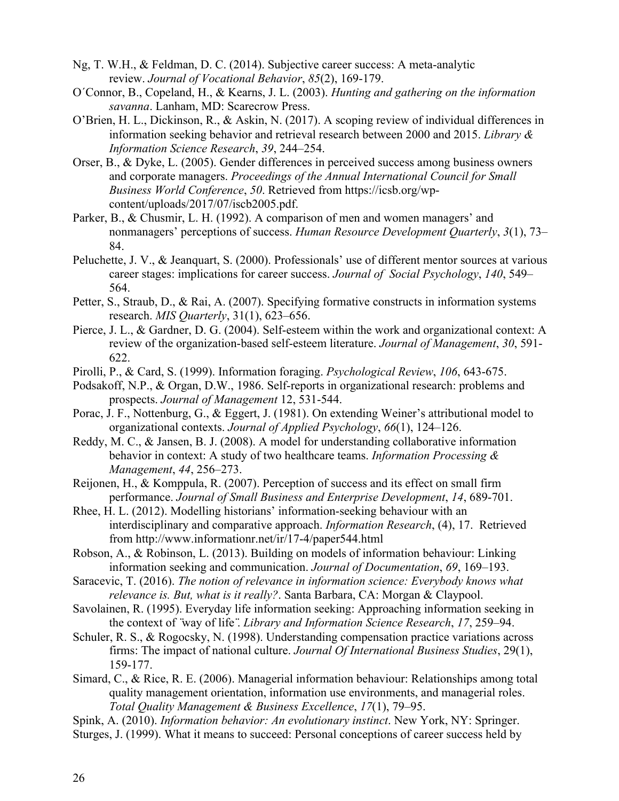- Ng, T. W.H., & Feldman, D. C. (2014). Subjective career success: A meta-analytic review. *Journal of Vocational Behavior*, *85*(2), 169-179.
- O´Connor, B., Copeland, H., & Kearns, J. L. (2003). *Hunting and gathering on the information savanna*. Lanham, MD: Scarecrow Press.
- O'Brien, H. L., Dickinson, R., & Askin, N. (2017). A scoping review of individual differences in information seeking behavior and retrieval research between 2000 and 2015. *Library & Information Science Research*, *39*, 244–254.
- Orser, B., & Dyke, L. (2005). Gender differences in perceived success among business owners and corporate managers. *Proceedings of the Annual International Council for Small Business World Conference*, *50*. Retrieved from https://icsb.org/wpcontent/uploads/2017/07/iscb2005.pdf.
- Parker, B., & Chusmir, L. H. (1992). A comparison of men and women managers' and nonmanagers' perceptions of success. *Human Resource Development Quarterly*, *3*(1), 73– 84.
- Peluchette, J. V., & Jeanquart, S. (2000). Professionals' use of different mentor sources at various career stages: implications for career success. *Journal of Social Psychology*, *140*, 549– 564.
- Petter, S., Straub, D., & Rai, A. (2007). Specifying formative constructs in information systems research. *MIS Quarterly*, 31(1), 623–656.
- Pierce, J. L., & Gardner, D. G. (2004). Self-esteem within the work and organizational context: A review of the organization-based self-esteem literature. *Journal of Management*, *30*, 591- 622.
- Pirolli, P., & Card, S. (1999). Information foraging. *Psychological Review*, *106*, 643-675.
- Podsakoff, N.P., & Organ, D.W., 1986. Self-reports in organizational research: problems and prospects. *Journal of Management* 12, 531-544.
- Porac, J. F., Nottenburg, G., & Eggert, J. (1981). On extending Weiner's attributional model to organizational contexts. *Journal of Applied Psychology*, *66*(1), 124–126.
- Reddy, M. C., & Jansen, B. J. (2008). A model for understanding collaborative information behavior in context: A study of two healthcare teams. *Information Processing & Management*, *44*, 256–273.
- Reijonen, H., & Komppula, R. (2007). Perception of success and its effect on small firm performance. *Journal of Small Business and Enterprise Development*, *14*, 689-701.
- Rhee, H. L. (2012). Modelling historians' information-seeking behaviour with an interdisciplinary and comparative approach. *Information Research*, (4), 17. Retrieved from http://www.informationr.net/ir/17-4/paper544.html
- Robson, A., & Robinson, L. (2013). Building on models of information behaviour: Linking information seeking and communication. *Journal of Documentation*, *69*, 169–193.
- Saracevic, T. (2016). *The notion of relevance in information science: Everybody knows what relevance is. But, what is it really?*. Santa Barbara, CA: Morgan & Claypool.
- Savolainen, R. (1995). Everyday life information seeking: Approaching information seeking in the context of ̈way of life ̈. *Library and Information Science Research*, *17*, 259–94.
- Schuler, R. S., & Rogocsky, N. (1998). Understanding compensation practice variations across firms: The impact of national culture. *Journal Of International Business Studies*, 29(1), 159-177.
- Simard, C., & Rice, R. E. (2006). Managerial information behaviour: Relationships among total quality management orientation, information use environments, and managerial roles. *Total Quality Management & Business Excellence*, *17*(1), 79–95.
- Spink, A. (2010). *Information behavior: An evolutionary instinct*. New York, NY: Springer.
- Sturges, J. (1999). What it means to succeed: Personal conceptions of career success held by